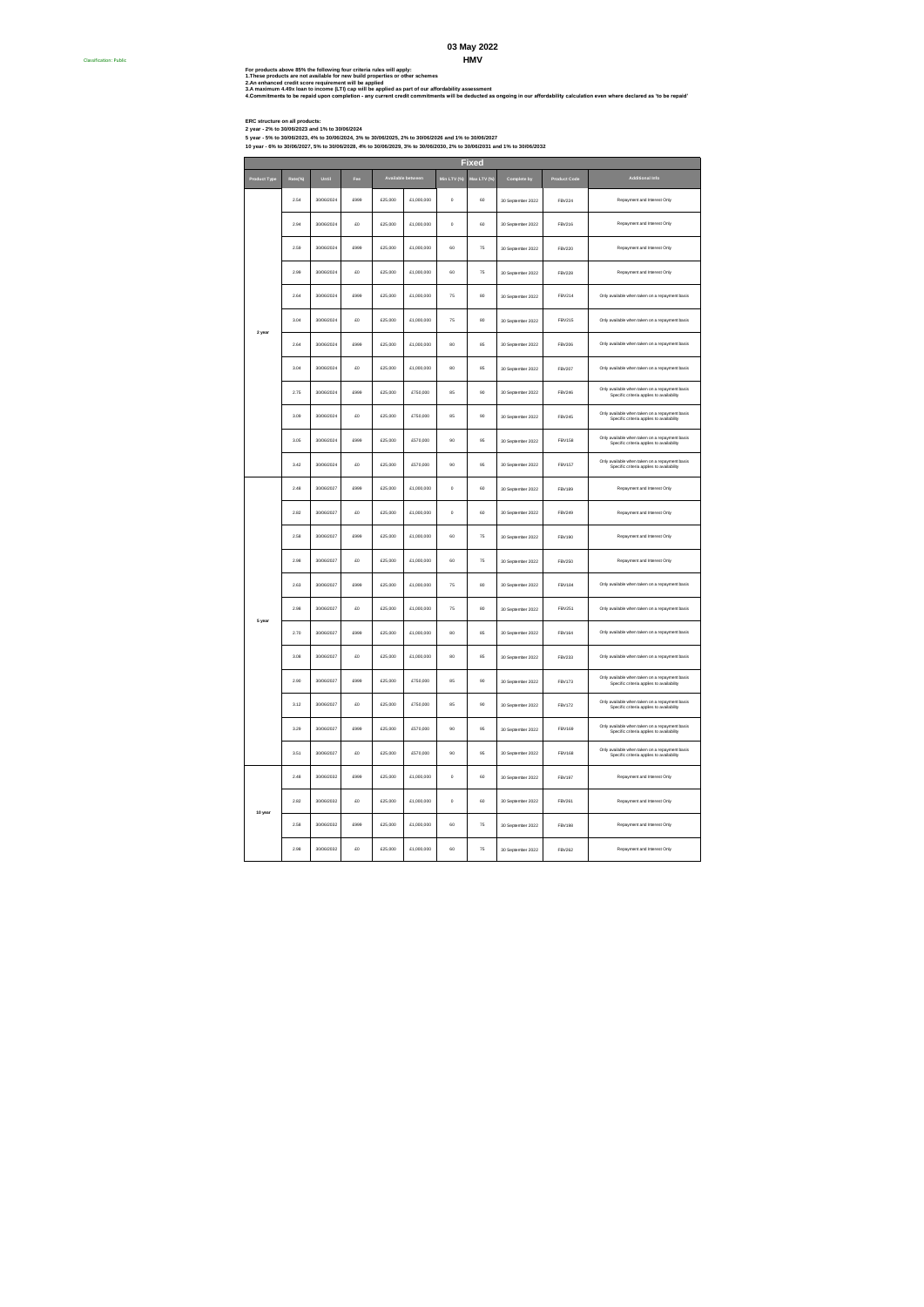## **HMV 03 May 2022**

For products above 85% the following four criteria rules will apply:<br>3. A maximum d reducts on the maximum of the following of the schemes<br>3. A maximum d reducts only mentill particular field of the format for the second o

Classification: Public #

ERC atructure on all products:<br>2 year - 5% to 30/06/2023 and 1% to 30/06/2024<br>10 year - 5% to 30/06/2023 and 1% to 30/06/2024, 3% to 30/06/2025, 2% to 30/06/2023 and 1% to 30/06/2027<br>10 year - 6% to 30/06/2027, 5% to 30/06

|  | Product Type | Rate(%) | Until      | Fee  |          | Available between | Min LTV (%) | Max LTV (% | Complete by       | Product Code  | Additional Info                                                                             |
|--|--------------|---------|------------|------|----------|-------------------|-------------|------------|-------------------|---------------|---------------------------------------------------------------------------------------------|
|  |              | 2.54    | 30/06/2024 | £999 | £25,000  | £1,000,000        | $\circ$     | 60         | 30 September 2022 | <b>FBV224</b> | Repayment and Interest Only                                                                 |
|  |              | 2.94    | 30/06/2024 | £o   | £25,000  | £1,000,000        | $\circ$     | 60         | 30 September 2022 | FBV216        | Repayment and Interest Only                                                                 |
|  |              | 2.59    | 30/06/2024 | £999 | £25,000  | £1,000,000        | 60          | 75         | 30 September 2022 | <b>FBV220</b> | Repayment and Interest Only                                                                 |
|  |              | 2.99    | 30/06/2024 | £O   | £25,000  | £1,000,000        | 60          | 75         | 30 September 2022 | <b>FBV228</b> | Repayment and Interest Only                                                                 |
|  |              | 2.64    | 30/06/2024 | cooo | £25,000  | £1,000,000        | 75          | 80         | 30 September 2022 | FRV214        | Only available when taken on a repayment basis                                              |
|  | 2 year       | 3.04    | 30/06/2024 | £O   | £25,000  | £1,000,000        | 75          | 80         | 30 September 2022 | <b>FBV215</b> | Only available when taken on a repayment basis                                              |
|  |              | 2.64    | 30/06/2024 | £999 | £25,000  | £1,000,000        | 80          | 85         | 30 September 2022 | <b>FBV206</b> | Only available when taken on a repayment basis                                              |
|  |              | 3.04    | 30/06/2024 | m    | \$25,000 | £1,000,000        | 80          | ss.        | 30 September 2022 | FBV207        | Only available when taken on a repayment basis                                              |
|  |              | 2.75    | 30/06/2024 | £999 | £25,000  | £750,000          | 85          | 90         | 30 September 2022 | <b>FBV246</b> | Only available when taken on a repayment basis<br>Specific criteria applies to availability |
|  |              | 3.09    | 30/06/2024 | £O   | £25,000  | £750,000          | 85          | 90         | 30 September 2022 | <b>FBV245</b> | Only available when taken on a repayment basis<br>Specific criteria applies to availability |
|  |              | 3.05    | 30/06/2024 | £999 | £25,000  | £570,000          | 90          | 95         | 30 September 2022 | <b>FBV158</b> | Only available when taken on a repayment basis<br>Specific criteria applies to availability |
|  |              | 3.42    | 30/06/2024 | £o   | £25,000  | £570,000          | 90          | 95         | 30 September 2022 | <b>FBV157</b> | Only available when taken on a repayment basis<br>Specific criteria applies to availability |
|  |              | 2.48    | 30/06/2027 | £999 | £25,000  | £1,000,000        | $\circ$     | 60         | 30 September 2022 | <b>FBV189</b> | Repayment and Interest Only                                                                 |
|  |              | 2.82    | 30/06/2027 | £O   | £25,000  | £1,000,000        | $\circ$     | 60         | 30 September 2022 | FBV249        | Repayment and Interest Only                                                                 |
|  |              | 2.58    | 30/06/2027 | cooo | £25,000  | £1,000,000        | 60          | 75         | 30 September 2022 | <b>FBV190</b> | Repayment and Interest Only                                                                 |
|  |              | 2.98    | 30/06/2027 | £O   | £25,000  | £1,000,000        | 60          | 75         | 30 September 2022 | <b>FBV250</b> | Repayment and Interest Only                                                                 |
|  |              | 2.63    | 30/06/2027 | £999 | £25,000  | £1,000,000        | 75          | 80         | 30 September 2022 | <b>FBV184</b> | Only available when taken on a repayment basis                                              |
|  | 5 year       | 2.98    | 30/06/2027 | m    | \$25,000 | \$1,000,000       | 75          | 80         | 30 September 2022 | FRV251        | Only available when taken on a repayment basis                                              |
|  |              | 2.70    | 30/06/2027 | £999 | £25,000  | £1,000,000        | 80          | 85         | 30 September 2022 | <b>FBV164</b> | Only available when taken on a repayment basis                                              |
|  |              | 3.08    | 30/06/2027 | £O   | £25,000  | £1,000,000        | 80          | 85         | 30 September 2022 | <b>FBV233</b> | Only available when taken on a repayment basis                                              |
|  |              | 2.90    | 30/06/2027 | £999 | £25,000  | £750,000          | 85          | 90         | 30 September 2022 | <b>FBV173</b> | Only available when taken on a repayment basis<br>Specific criteria applies to availability |
|  |              | 3.12    | 30/06/2027 | £o   | £25,000  | £750,000          | ss.         | 90         | 30 September 2022 | <b>FBV172</b> | Only available when taken on a repayment basis<br>Specific criteria applies to availability |
|  |              | 3.29    | 30/06/2027 | £999 | £25,000  | £570,000          | 90          | 95         | 30 September 2022 | FBV169        | Only available when taken on a repayment basis<br>Specific criteria applies to availability |
|  |              | 3.51    | 30/06/2027 | £O   | £25,000  | £570,000          | 90          | 95         | 30 September 2022 | <b>FBV168</b> | Only available when taken on a repayment basis<br>Specific criteria applies to availability |
|  |              | 2.48    | 30/06/2032 | cooo | £25,000  | £1,000,000        | $\circ$     | 60         | 30 September 2022 | <b>FBV197</b> | Repayment and Interest Only                                                                 |
|  | 10 year      | 2.82    | 30/06/2032 | £O   | £25,000  | £1,000,000        | $\circ$     | 60         | 30 September 2022 | FBV261        | Repayment and Interest Only                                                                 |
|  |              | 2.58    | 30/06/2032 | £999 | £25,000  | £1,000,000        | 60          | 75         | 30 September 2022 | <b>FBV198</b> | Repayment and Interest Only                                                                 |
|  |              | 2.98    | 30/06/2032 | £o   | £25,000  | £1,000,000        | 60          | 75         | 30 September 2022 | FRV262        | Repayment and Interest Only                                                                 |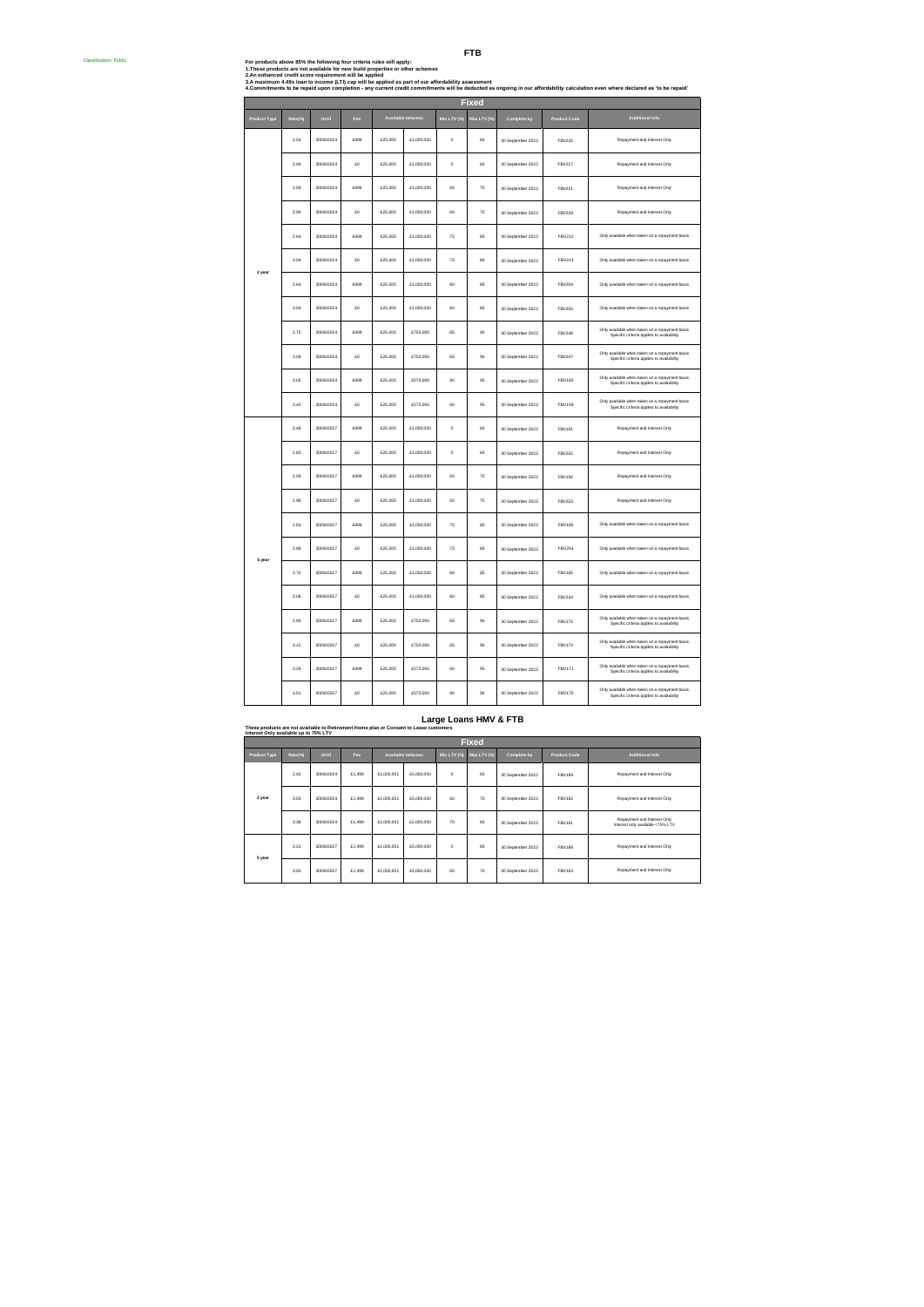| <b>Classification: Public</b> |  |
|-------------------------------|--|

**FTB For products above 85% the following four criteria rules will apply: 1. These products are not available for new build properties or other schemes**

| <u>LINGSC DIVUULLS GIC INILAYANGUIC IVI NGW DUNU DIVUCIUCS VI VUICI SLIICINGS </u>                                                                                             |
|--------------------------------------------------------------------------------------------------------------------------------------------------------------------------------|
| 2.An enhanced credit score requirement will be applied                                                                                                                         |
| 3.A maximum 4.49x loan to income (LTI) cap will be applied as part of our affordability assessment                                                                             |
| 4.Commitments to be repaid upon completion - any current credit commitments will be deducted as ongoing in our affordability calculation even where declared as 'to be repaid' |
|                                                                                                                                                                                |

| <b>Fixed</b>        |         |            |      |         |                   |             |             |                   |                     |                                                                                             |  |
|---------------------|---------|------------|------|---------|-------------------|-------------|-------------|-------------------|---------------------|---------------------------------------------------------------------------------------------|--|
| <b>Product Type</b> | Rate(%) | Until      | Fed  |         | Available between | Min LTV (%) | Max LTV (%) | Complete by       | <b>Product Code</b> | Additional Info                                                                             |  |
|                     | 2.54    | 30/06/2024 | £999 | £25,000 | £1,000,000        | $\circ$     | 60          | 30 September 2022 | <b>FBV225</b>       | Repayment and Interest Only                                                                 |  |
|                     | 2.94    | 30/06/2024 | £O   | £25,000 | £1,000,000        | $\circ$     | 60          | 30 September 2022 | <b>FBV217</b>       | Repayment and Interest Only                                                                 |  |
|                     | 2.59    | 30/06/2024 | £999 | £25,000 | £1,000,000        | 60          | 75          | 30 September 2022 | FBV221              | Repayment and Interest Only                                                                 |  |
|                     | 2.99    | 30/06/2024 | £D   | £25,000 | £1,000,000        | 60          | 75          | 30 September 2022 | <b>FBV229</b>       | Repayment and Interest Only                                                                 |  |
|                     | 2.64    | 30/06/2024 | 6999 | £25,000 | £1,000,000        | 75          | 80          | 30 September 2022 | <b>FBV212</b>       | Only available when taken on a repayment basis                                              |  |
| 2 year              | 3.04    | 30/06/2024 | £D   | £25,000 | £1,000,000        | 75          | 80          | 30 September 2022 | <b>FBV213</b>       | Only available when taken on a repayment basis                                              |  |
|                     | 2.64    | 30/06/2024 | £999 | £25,000 | £1,000,000        | 80          | 85          | 30 September 2022 | <b>FBV204</b>       | Only available when taken on a repayment basis                                              |  |
|                     | 3.04    | 30/06/2024 | £O   | £25,000 | £1,000,000        | 80          | 85          | 30 September 2022 | <b>FBV205</b>       | Only available when taken on a repayment basis                                              |  |
|                     | 2.75    | 30/06/2024 | £999 | £25,000 | £750,000          | 85          | 90          | 30 September 2022 | <b>FBV248</b>       | Only available when taken on a repayment basis<br>Specific criteria applies to availability |  |
|                     | 3.09    | 30/06/2024 | £D   | £25,000 | £750,000          | 85          | 90          | 30 September 2022 | <b>FBV247</b>       | Only available when taken on a repayment basis<br>Specific criteria applies to availability |  |
|                     | 3.05    | 30/06/2024 | 6999 | £25,000 | £570,000          | 90          | 95          | 30 September 2022 | <b>FBV160</b>       | Only available when taken on a repayment basis<br>Specific criteria applies to availability |  |
|                     | 3.42    | 30/06/2024 | £D   | £25,000 | £570,000          | 90          | 95          | 30 September 2022 | <b>FBV159</b>       | Only available when taken on a repayment basis<br>Specific criteria applies to availability |  |
|                     | 2.48    | 30/06/2027 | £999 | £25,000 | £1,000,000        | $\,$        | 60          | 30 September 2022 | <b>FBV191</b>       | Repayment and Interest Only                                                                 |  |
|                     | 2.82    | 30/06/2027 | £O   | £25,000 | £1,000,000        | $\,$        | 60          | 30 September 2022 | FBV252              | Repayment and Interest Only                                                                 |  |
|                     | 2.58    | 30/06/2027 | £999 | £25,000 | £1,000,000        | 60          | 75          | 30 September 2022 | FBV192              | Repayment and Interest Only                                                                 |  |
|                     | 2.98    | 30/06/2027 | £D   | £25,000 | £1,000,000        | 60          | 75          | 30 September 2022 | FBV253              | Repayment and Interest Only                                                                 |  |
|                     | 2.63    | 30/06/2027 | £999 | £25,000 | £1,000,000        | 75          | 80          | 30 September 2022 | <b>FBV185</b>       | Only available when taken on a repayment basis                                              |  |
| 5 year              | 298     | 30/06/2027 | £O   | £25,000 | £1,000,000        | 75          | 80          | 30 September 2022 | <b>FBV254</b>       | Only available when taken on a repayment basis                                              |  |
|                     | 2.70    | 30/06/2027 | £999 | £25,000 | £1,000,000        | 80          | 85          | 30 September 2022 | <b>FBV165</b>       | Only available when taken on a repayment basis                                              |  |
|                     | 3.08    | 30/06/2027 | £O   | £25,000 | £1,000,000        | 80          | 85          | 30 September 2022 | <b>FBV234</b>       | Only available when taken on a repayment basis                                              |  |
|                     | 2.90    | 30/06/2027 | 6999 | £25,000 | £750,000          | 85          | 90          | 30 September 2022 | <b>FBV175</b>       | Only available when taken on a repayment basis<br>Specific criteria applies to availability |  |
|                     | 3.12    | 30/06/2027 | £D   | £25,000 | £750,000          | 85          | 90          | 30 September 2022 | FBV174              | Only available when taken on a repayment basis<br>Specific criteria applies to availability |  |
|                     | 3.29    | 30/06/2027 | £999 | £25,000 | £570,000          | 90          | 95          | 30 September 2022 | <b>FBV171</b>       | Only available when taken on a repayment basis<br>Specific criteria applies to availability |  |
|                     | 3.51    | 30/06/2027 | £O   | £25,000 | £570,000          | 90          | 95          | 30 September 2022 | <b>FBV170</b>       | Only available when taken on a repayment basis<br>Specific criteria applies to availability |  |
|                     |         |            |      |         |                   |             |             |                   |                     |                                                                                             |  |

|                     | Large Loans HMV & FTB<br>These products are not available to Retirement Home plan or Consent to Lease customers<br>Interest Only available up to 75% LTV |            |        |                   |            |             |             |                   |                     |                                                                 |  |  |  |
|---------------------|----------------------------------------------------------------------------------------------------------------------------------------------------------|------------|--------|-------------------|------------|-------------|-------------|-------------------|---------------------|-----------------------------------------------------------------|--|--|--|
|                     | <b>Fixed</b>                                                                                                                                             |            |        |                   |            |             |             |                   |                     |                                                                 |  |  |  |
| <b>Product Type</b> | Rate(%)                                                                                                                                                  | Until      | Fee    | Available between |            | Min LTV (%) | Max LTV (%) | Complete by       | <b>Product Code</b> | <b>Additional Info</b>                                          |  |  |  |
|                     | 242                                                                                                                                                      | 30/06/2024 | £1,499 | £1,000.001        | £5,000,000 | $\Omega$    | 60          | 30 September 2022 | FRV199              | Repayment and Interest Only                                     |  |  |  |
| 2 year              | 3.03                                                                                                                                                     | 30/06/2024 | £1,499 | £1,000.001        | £5,000,000 | 60          | 70          | 30 September 2022 | ERV162              | Repayment and Interest Only                                     |  |  |  |
|                     | 3.38                                                                                                                                                     | 30/06/2024 | £1,499 | £1,000.001        | £2,000.000 | 70          | 80          | 30 September 2022 | ERV161              | Repayment and Interest Only<br>Interest only available <75% LTV |  |  |  |
| 5 year              | 2.31                                                                                                                                                     | 30/06/2027 | £1,499 | £1,000.001        | £5,000,000 | $\Omega$    | 60          | 30 September 2022 | <b>FRV188</b>       | Repayment and Interest Only                                     |  |  |  |
|                     |                                                                                                                                                          |            |        |                   |            |             |             |                   |                     |                                                                 |  |  |  |

3.93 30/06/2027 £1,499 £1,000,001 £5,000,000 60 70 30 September 2022 FBV163 Repayment and Interest Only

 $\overline{\phantom{a}}$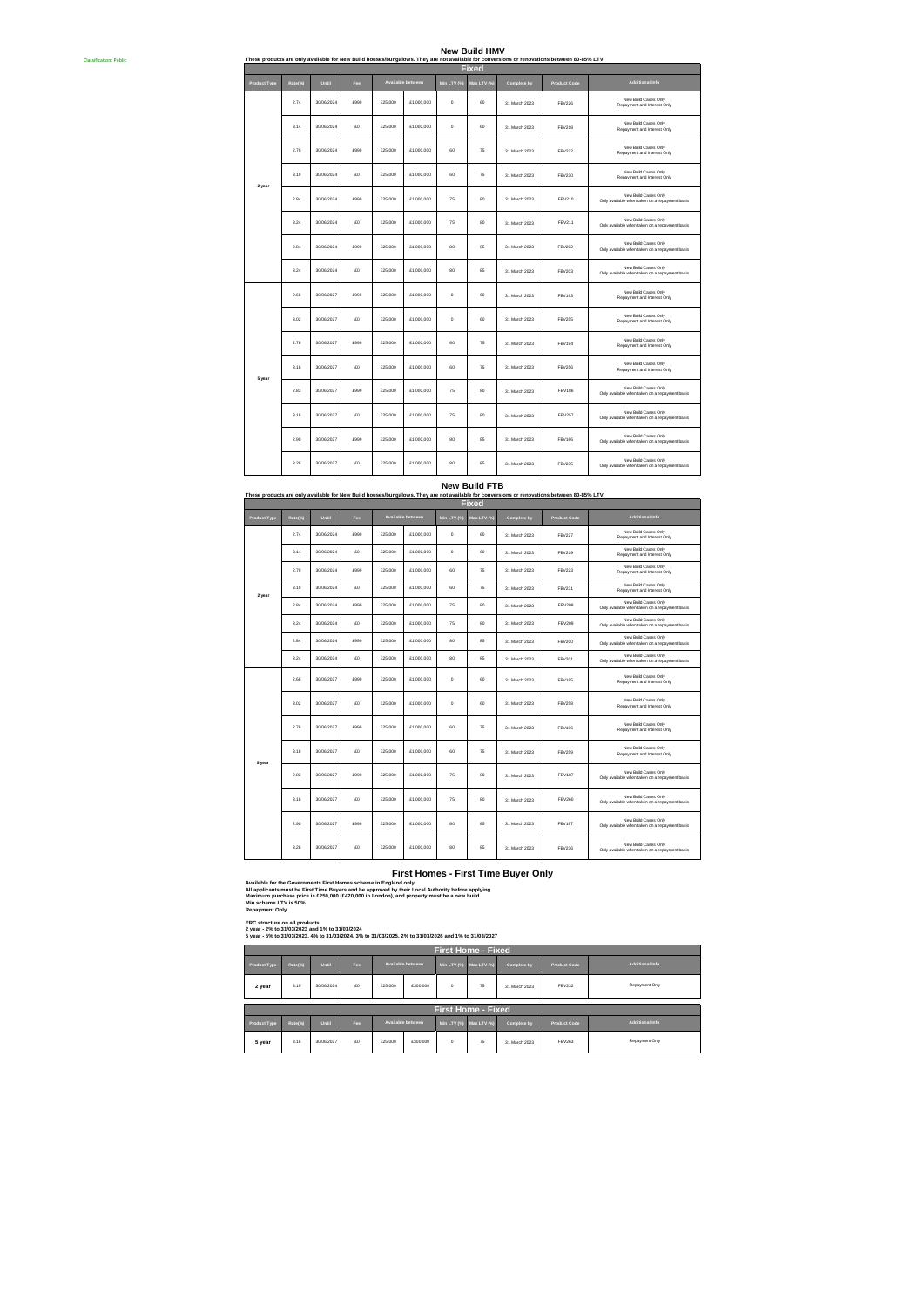### **New Build HMV**

|                     |         |            |      |         |                   |            |              |               | These products are only available for New Build houses/bungalows. They are not available for conversions or renovations between 80-85% LTV |                                                                        |
|---------------------|---------|------------|------|---------|-------------------|------------|--------------|---------------|--------------------------------------------------------------------------------------------------------------------------------------------|------------------------------------------------------------------------|
|                     |         |            |      |         |                   |            | <b>Fixed</b> |               |                                                                                                                                            |                                                                        |
| <b>Product Type</b> | Rate(%) | Until      | Fee  |         | Available between | Min LTV (% | Max LTV (%   | Complete by   | <b>Product Code</b>                                                                                                                        | Additional Info                                                        |
|                     | 2.74    | 30/06/2024 | £999 | £25,000 | £1,000,000        | $\circ$    | 60           | 31 March 2023 | FBV226                                                                                                                                     | New Build Cases Only<br>Repayment and Interest Only                    |
|                     | 3.14    | 30/06/2024 | £0   | £25,000 | £1,000,000        | $\circ$    | 60           | 31 March 2023 | <b>FBV218</b>                                                                                                                              | New Build Cases Only<br>Repayment and Interest Only                    |
|                     | 2.79    | 30/06/2024 | £999 | £25,000 | £1,000,000        | 60         | 75           | 31 March 2023 | <b>FBV222</b>                                                                                                                              | New Build Cases Only<br>Repayment and Interest Only                    |
| 2 year              | 3.19    | 30/06/2024 | £0   | £25,000 | £1,000,000        | 60         | 75           | 31 March 2023 | <b>FBV230</b>                                                                                                                              | New Build Cases Only<br>Repayment and Interest Only                    |
|                     | 2.84    | 30/06/2024 | £999 | £25,000 | £1,000,000        | 75         | 80           | 31 March 2023 | FBV210                                                                                                                                     | New Build Cases Only<br>Only available when taken on a repayment basis |
|                     | 3.24    | 30/06/2024 | £0   | £25,000 | £1,000,000        | 75         | 80           | 31 March 2023 | FBV211                                                                                                                                     | New Build Cases Only<br>Only available when taken on a repayment basis |
|                     | 2.84    | 30/06/2024 | £999 | £25,000 | £1,000,000        | 80         | 85           | 31 March 2023 | FBV202                                                                                                                                     | New Build Cases Only<br>Only available when taken on a repayment basis |
|                     | 3.24    | 30/06/2024 | £0   | £25,000 | £1,000,000        | 80         | 85           | 31 March 2023 | FBV203                                                                                                                                     | New Build Cases Only<br>Only available when taken on a repayment basis |
|                     | 2.68    | 30/06/2027 | £999 | £25,000 | £1,000,000        | $^{\circ}$ | 60           | 31 March 2023 | <b>FBV193</b>                                                                                                                              | New Build Cases Only<br>Repayment and Interest Only                    |
|                     | 3.02    | 30/06/2027 | £0   | £25,000 | £1,000,000        | $^{\circ}$ | 60           | 31 March 2023 | FBV255                                                                                                                                     | New Build Cases Only<br>Repayment and Interest Only                    |
|                     | 2.78    | 30/06/2027 | £999 | £25,000 | £1,000,000        | 60         | 75           | 31 March 2023 | <b>FBV194</b>                                                                                                                              | New Build Cases Only<br>Repayment and Interest Only                    |
| 5 year              | 3.18    | 30/06/2027 | £0   | £25,000 | £1,000,000        | 60         | 75           | 31 March 2023 | FBV256                                                                                                                                     | New Build Cases Only<br>Repayment and Interest Only                    |
|                     | 2.83    | 30/06/2027 | £999 | £25,000 | £1,000,000        | 75         | 80           | 31 March 2023 | <b>FBV186</b>                                                                                                                              | New Build Cases Only<br>Only available when taken on a repayment basis |
|                     | 3.18    | 30/06/2027 | \$0  | £25,000 | £1,000,000        | 75         | 80           | 31 March 2023 | <b>FBV257</b>                                                                                                                              | New Build Cases Only<br>Only available when taken on a repayment basis |
|                     | 2.90    | 30/06/2027 | £999 | £25,000 | £1,000,000        | 80         | 85           | 31 March 2023 | <b>FBV166</b>                                                                                                                              | New Build Cases Only<br>Only available when taken on a repayment basis |
|                     | 3.28    | 30/06/2027 | £0   | £25,000 | £1,000,000        | 80         | 85           | 31 March 2023 | <b>FBV235</b>                                                                                                                              | New Build Cases Only<br>Only available when taken on a repayment basis |

**THEW BUIIG F I B**<br>Cts are only available for New Build houses/bungalows. They are not available for conversions or renovations between 80-85% LTV **New Build FTB**

| <b>Fixed</b>        |         |            |      |         |                   |             |            |               |                     |                                                                        |  |  |
|---------------------|---------|------------|------|---------|-------------------|-------------|------------|---------------|---------------------|------------------------------------------------------------------------|--|--|
| <b>Product Type</b> | Rate(%) | Until      | Fee  |         | Available between | Min LTV (%) | Max LTV (% | Complete by   | <b>Product Code</b> | Additional Info                                                        |  |  |
|                     | 2.74    | 30/06/2024 | £999 | £25,000 | £1,000,000        | $\circ$     | 60         | 31 March 2023 | <b>FBV227</b>       | New Build Cases Only<br>Repayment and Interest Only                    |  |  |
|                     | 3.14    | 30/06/2024 | £D   | £25,000 | £1,000,000        | $^{\circ}$  | 60         | 31 March 2023 | FBV219              | New Build Cases Only<br>Repayment and Interest Only                    |  |  |
|                     | 2.79    | 30/06/2024 | cago | £25,000 | £1,000,000        | 60          | 75         | 31 March 2023 | <b>FBV223</b>       | New Build Cases Only<br>Repayment and Interest Only                    |  |  |
| 2 year              | 3.19    | 30/06/2024 | £0   | £25,000 | £1,000,000        | 60          | 75         | 31 March 2023 | <b>FBV231</b>       | New Build Cases Only<br>Repayment and Interest Only                    |  |  |
|                     | 284     | 30/06/2024 | cago | £25,000 | £1,000,000        | 75          | 80         | 31 March 2023 | <b>FRV208</b>       | New Build Cases Only<br>Only available when taken on a repayment basis |  |  |
|                     | 3.24    | 30/06/2024 | £0   | £25,000 | £1,000,000        | 75          | 80         | 31 March 2023 | FBV209              | New Build Cases Only<br>Only available when taken on a repayment basis |  |  |
|                     | 2.84    | 30/06/2024 | £999 | £25,000 | £1,000,000        | 80          | 85         | 31 March 2023 | FBV200              | New Build Cases Only<br>Only available when taken on a repayment basis |  |  |
|                     | 3.24    | 30/06/2024 | £0   | £25,000 | £1,000,000        | 80          | 85         | 31 March 2023 | FBV201              | New Build Cases Only<br>Only available when taken on a repayment basis |  |  |
|                     | 2.68    | 30/06/2027 | £999 | £25,000 | £1,000,000        | $\circ$     | 60         | 31 March 2023 | <b>FRV195</b>       | New Build Cases Only<br>Repayment and Interest Only                    |  |  |
|                     | 3.02    | 30/06/2027 | £0   | £25,000 | £1,000,000        | $\circ$     | 60         | 31 March 2023 | <b>FBV258</b>       | New Build Cases Only<br>Repayment and Interest Only                    |  |  |
|                     | 2.78    | 30/06/2027 | £999 | £25,000 | £1,000,000        | 60          | 75         | 31 March 2023 | <b>FRV196</b>       | New Build Cases Only<br>Repayment and Interest Only                    |  |  |
| 5 year              | 3.18    | 30/06/2027 | £D   | £25,000 | £1,000,000        | 60          | 75         | 31 March 2023 | <b>FRV259</b>       | New Build Cases Only<br>Repayment and Interest Only                    |  |  |
|                     | 2.83    | 30/06/2027 | cago | £25,000 | £1,000,000        | 75          | 80         | 31 March 2023 | FRV187              | New Build Cases Only<br>Only available when taken on a repayment basis |  |  |
|                     | 3.18    | 30/06/2027 | £0   | £25,000 | £1,000,000        | 75          | 80         | 31 March 2023 | <b>FBV260</b>       | New Build Cases Only<br>Only available when taken on a repayment basis |  |  |
|                     | 2.90    | 30/06/2027 | £999 | £25,000 | £1,000,000        | 80          | 85         | 31 March 2023 | <b>FBV167</b>       | New Build Cases Only<br>Only available when taken on a repayment basis |  |  |
|                     | 3.28    | 30/06/2027 | £D   | £25,000 | £1,000,000        | 80          | 85         | 31 March 2023 | <b>FRV236</b>       | New Build Cases Only<br>Only available when taken on a repayment basis |  |  |

**First Homes - First Time Buyer Only**

Available for the Governments First Homes scheme in England only<br>All applicants must be First Time Buyers and be approved by their Local Authority before applying<br>Maximum purchase price is £250,000 (£420,000 in London), an

ERC structure on all products:<br>2 year - 2% to 31/03/2023 and 1% to 31/03/2024<br>5 year - 5% to 31/03/2023, 4% to 31/03/2024, 3% to 31/03/2025, 2% to 31/03/2026 and 1% to 31/03/2027

|                           | <b>First Home - Fixed</b> |                                   |     |                   |          |             |                         |               |                     |                 |  |  |  |
|---------------------------|---------------------------|-----------------------------------|-----|-------------------|----------|-------------|-------------------------|---------------|---------------------|-----------------|--|--|--|
| Product Type              | Rate(%)                   | Until                             | Fee | Available between |          | Min LTV (%) | Max LTV (%)             | Complete by   | <b>Product Code</b> | Additional Info |  |  |  |
| 2 year                    | 3.19                      | 30/06/2024                        | £D  | £25,000           | £300,000 | $^{\circ}$  | 75                      | 31 March 2023 | <b>FBV232</b>       | Repayment Only  |  |  |  |
|                           |                           |                                   |     |                   |          |             |                         |               |                     |                 |  |  |  |
| <b>First Home - Fixed</b> |                           |                                   |     |                   |          |             |                         |               |                     |                 |  |  |  |
| Product Type              | Rate(%)                   | Available between<br>Until<br>Fee |     |                   |          |             | Min LTV (%) Max LTV (%) | Complete by   | <b>Product Code</b> | Additional Info |  |  |  |
| 5 year                    | 3.18                      | 30/06/2027                        | £D  | £25,000           | £300,000 | $^{\circ}$  | 75                      | 31 March 2023 | <b>FBV263</b>       | Repayment Only  |  |  |  |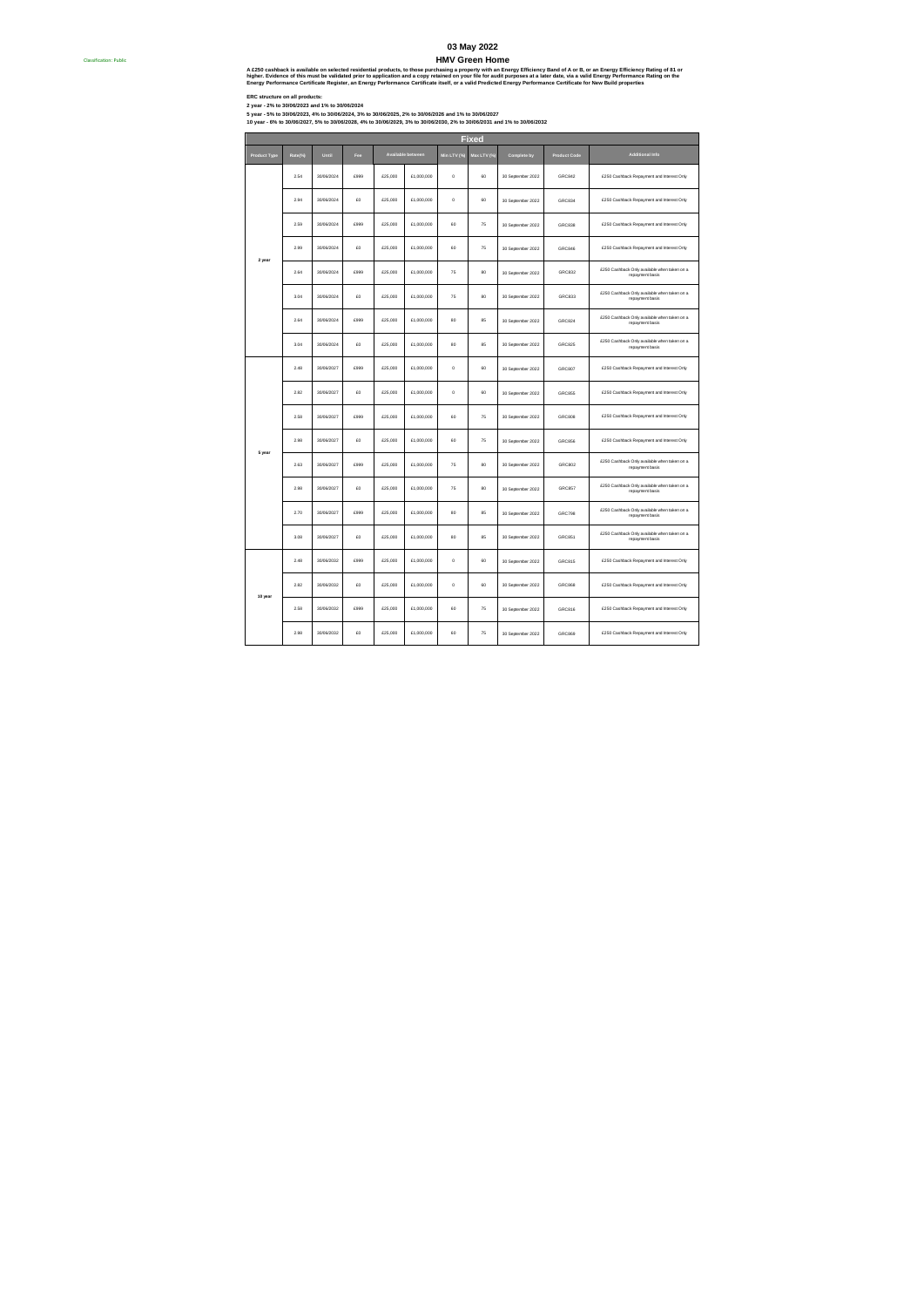# **03 May 2022**

A £250 cashback is available on selected residential products, to those purchasing a property with an Energy Efficiency Band of A or B, or an Energy Efficiency Rating of St or<br>higher, Evidence of this must be validated pri

Classification: Public #

ERC atructure on all products:<br>2 year - 5% to 30/06/2023 and 1% to 30/06/2024<br>10 year - 5% to 30/06/2023 and 1% to 30/06/2024, 3% to 30/06/2025, 2% to 30/06/2023 and 1% to 30/06/2027<br>10 year - 6% to 30/06/2027, 5% to 30/06

|                     |         |            |      |         | <b>Fixed</b>      |             |             |                   |                     |                                                                 |  |  |
|---------------------|---------|------------|------|---------|-------------------|-------------|-------------|-------------------|---------------------|-----------------------------------------------------------------|--|--|
| <b>Product Type</b> | Rate(%) | Until      | Fee  |         | Available between | Min LTV (%) | Max LTV (%) | Complete by       | <b>Product Code</b> | Additional Info                                                 |  |  |
|                     | 2.54    | 30/06/2024 | 6999 | £25,000 | £1,000,000        | $\circ$     | 60          | 30 September 2022 | GRC842              | £250 Cashback Repayment and Interest Only                       |  |  |
|                     | 2.94    | 30/06/2024 | £O   | £25,000 | £1,000,000        | $\circ$     | 60          | 30 September 2022 | GRC834              | £250 Cashback Repayment and Interest Only                       |  |  |
|                     | 2.59    | 30/06/2024 | 6999 | £25,000 | £1,000,000        | 60          | 75          | 30 September 2022 | GRC838              | £250 Cashback Repayment and Interest Only                       |  |  |
| 2 year              | 2.99    | 30/06/2024 | £O   | £25,000 | £1,000,000        | 60          | 75          | 30 September 2022 | <b>GRC846</b>       | £250 Cashback Repayment and Interest Only                       |  |  |
|                     | 2.64    | 30/06/2024 | £999 | £25,000 | £1,000,000        | 75          | 80          | 30 September 2022 | <b>GRC832</b>       | £250 Cashback Only available when taken on a<br>repayment basis |  |  |
|                     | 3.04    | 30/06/2024 | £O   | £25,000 | £1,000,000        | 75          | 80          | 30 September 2022 | <b>GRC833</b>       | £250 Cashback Only available when taken on a<br>repayment basis |  |  |
|                     | 2.64    | 30/06/2024 | £999 | £25,000 | £1,000,000        | 80          | 85          | 30 September 2022 | GRC824              | £250 Cashback Only available when taken on a<br>repayment basis |  |  |
|                     | 3.04    | 30/06/2024 | £O   | £25,000 | £1,000,000        | 80          | 85          | 30 September 2022 | <b>GRC825</b>       | £250 Cashback Only available when taken on a<br>repayment basis |  |  |
|                     | 2.48    | 30/06/2027 | £999 | £25,000 | £1,000,000        | $\circ$     | 60          | 30 September 2022 | GRC807              | £250 Cashback Repayment and Interest Only                       |  |  |
|                     | 2.82    | 30/06/2027 | £O   | £25,000 | £1,000,000        | o           | 60          | 30 September 2022 | <b>GRC855</b>       | £250 Cashback Repayment and Interest Only                       |  |  |
|                     | 2.58    | 30/06/2027 | 6999 | £25,000 | £1,000.000        | 60          | 75          | 30 September 2022 | GRC808              | £250 Cashback Repayment and Interest Only                       |  |  |
| 5 year              | 2.98    | 30/06/2027 | en   | £25,000 | £1,000,000        | 60          | 75          | 30 September 2022 | <b>GRC856</b>       | £250 Cashback Repayment and Interest Only                       |  |  |
|                     | 2.63    | 30/06/2027 | 6999 | £25,000 | £1,000.000        | 75          | 80          | 30 September 2022 | GRC802              | £250 Cashback Only available when taken on a<br>repayment basis |  |  |
|                     | 2.98    | 30/06/2027 | en   | £25,000 | £1,000.000        | 75          | 80          | 30 September 2022 | <b>GRC857</b>       | £250 Cashback Only available when taken on a<br>repayment basis |  |  |
|                     | 2.70    | 30/06/2027 | £999 | £25,000 | £1,000,000        | 80          | 85          | 30 September 2022 | GRC798              | £250 Cashback Only available when taken on a<br>repayment basis |  |  |
|                     | 3.08    | 30/06/2027 | £O   | £25,000 | £1,000,000        | 80          | 85          | 30 September 2022 | <b>GRC851</b>       | £250 Cashback Only available when taken on a<br>repayment basis |  |  |
|                     | 2.48    | 30/06/2032 | £999 | £25,000 | £1,000,000        | o           | 60          | 30 September 2022 | <b>GRC815</b>       | £250 Cashback Repayment and Interest Only                       |  |  |
| 10 year             | 2.82    | 30/06/2032 | £O   | £25,000 | £1,000,000        | o           | 60          | 30 September 2022 | GRC868              | £250 Cashback Repayment and Interest Only                       |  |  |
|                     | 2.58    | 30/06/2032 | £999 | £25,000 | £1,000,000        | 60          | 75          | 30 September 2022 | GRC816              | £250 Cashback Repayment and Interest Only                       |  |  |
|                     | 2.98    | 30/06/2032 | £O   | £25,000 | £1,000,000        | 60          | 75          | 30 September 2022 | GRC869              | £250 Cashback Repayment and Interest Only                       |  |  |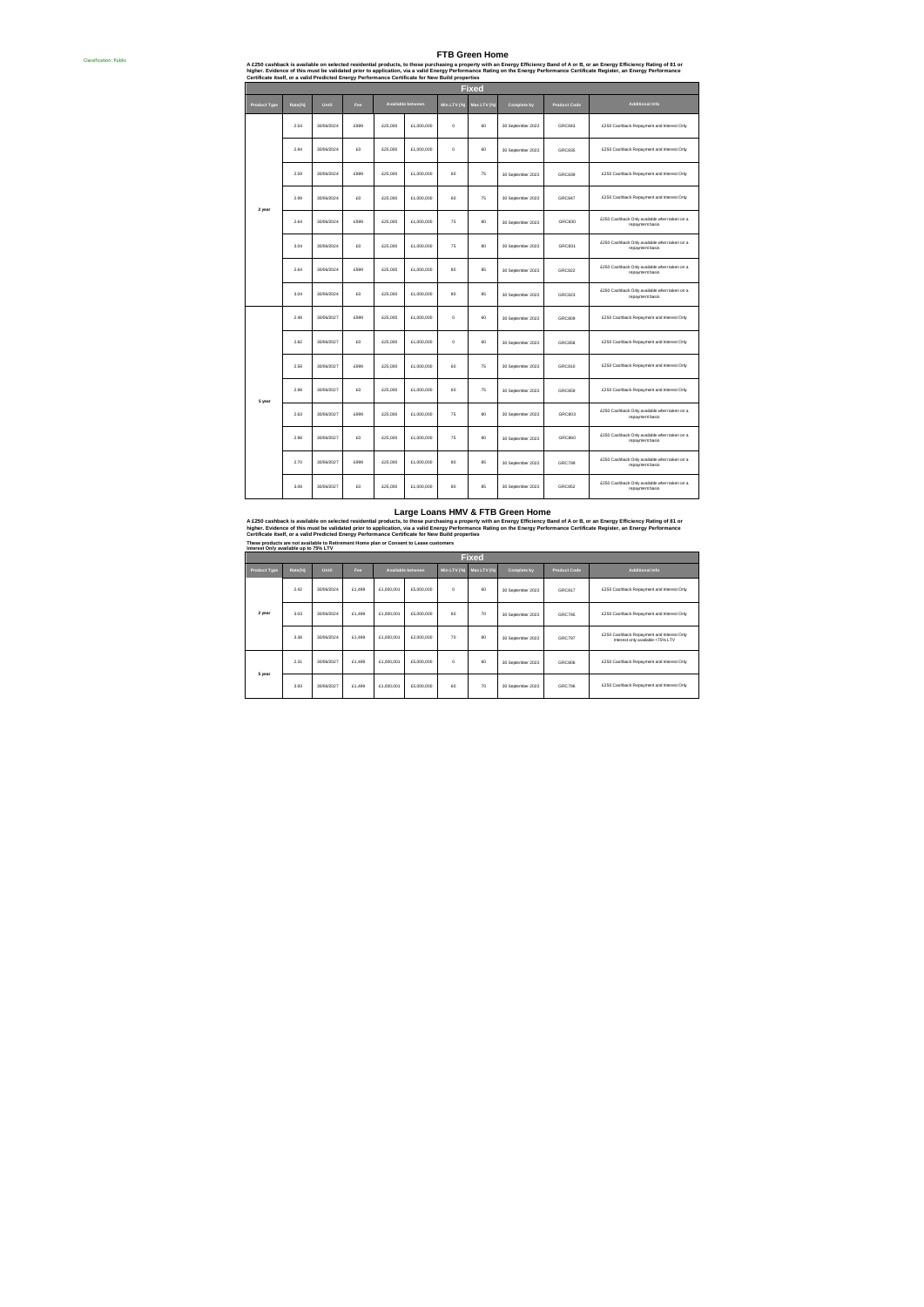A £250 cashback is available on selected residential products, to those purchase property with an Energy Efficiency Band of A or B, or an Energy Efficiency Rating of St or<br>higher. Evidence of this must be validated prior t

Classification: Public #

| Fixed               |         |            |      |         |                   |             |             |                   |                     |                                                                 |  |  |
|---------------------|---------|------------|------|---------|-------------------|-------------|-------------|-------------------|---------------------|-----------------------------------------------------------------|--|--|
| <b>Product Type</b> | Rate(%) | Until      | Fee  |         | Available between | Min LTV (%) | Max LTV (%) | Complete by       | <b>Product Code</b> | <b>Additional Info</b>                                          |  |  |
|                     | 2.54    | 30/06/2024 | £999 | £25,000 | £1,000,000        | $\circ$     | 60          | 30 September 2022 | <b>GRC843</b>       | £250 Cashback Repayment and Interest Only                       |  |  |
|                     | 2.94    | 30/06/2024 | £O   | £25,000 | £1,000,000        | $\circ$     | 60          | 30 September 2022 | <b>GRC835</b>       | £250 Cashback Repayment and Interest Only                       |  |  |
|                     | 2.59    | 30/06/2024 | £999 | £25,000 | £1,000,000        | 60          | 75          | 30 September 2022 | <b>GRC839</b>       | £250 Cashback Repayment and Interest Only                       |  |  |
| 2 year              | 2.99    | 30/06/2024 | £O   | £25,000 | £1,000,000        | 60          | 75          | 30 September 2022 | GRC847              | £250 Cashback Repayment and Interest Only                       |  |  |
|                     | 2.64    | 30/06/2024 | £999 | £25,000 | £1,000,000        | 75          | 80          | 30 September 2022 | GRC830              | £250 Cashback Only available when taken on a<br>repayment basis |  |  |
|                     | 3.04    | 30/06/2024 | £O   | £25,000 | £1,000,000        | 75          | 80          | 30 September 2022 | GRC831              | £250 Cashback Only available when taken on a<br>repayment basis |  |  |
|                     | 2.64    | 30/06/2024 | £999 | £25,000 | £1,000,000        | 80          | 85          | 30 September 2022 | GRC822              | £250 Cashback Only available when taken on a<br>repayment basis |  |  |
|                     | 3.04    | 30/06/2024 | £O   | £25,000 | £1,000,000        | 80          | 85          | 30 September 2022 | <b>GRC823</b>       | £250 Cashback Only available when taken on a<br>repayment basis |  |  |
|                     | 2.48    | 30/06/2027 | £999 | £25,000 | £1,000,000        | $\circ$     | 60          | 30 September 2022 | <b>GRC809</b>       | £250 Cashback Repayment and Interest Only                       |  |  |
|                     | 2.82    | 30/06/2027 | £O   | £25,000 | £1,000,000        | $\circ$     | 60          | 30 September 2022 | <b>GRC858</b>       | £250 Cashback Repayment and Interest Only                       |  |  |
|                     | 2.58    | 30/06/2027 | £999 | £25,000 | £1,000,000        | 60          | 75          | 30 September 2022 | <b>GRC810</b>       | £250 Cashback Repayment and Interest Only                       |  |  |
| 5 year              | 2.98    | 30/06/2027 | £O   | £25,000 | £1,000,000        | 60          | 75          | 30 September 2022 | <b>GRC859</b>       | £250 Cashback Repayment and Interest Only                       |  |  |
|                     | 2.63    | 30/06/2027 | £999 | £25,000 | £1,000,000        | 75          | 80          | 30 September 2022 | <b>GRC803</b>       | £250 Cashback Only available when taken on a<br>repayment basis |  |  |
|                     | 2.98    | 30/06/2027 | £O   | £25,000 | £1,000,000        | 75          | 80          | 30 September 2022 | <b>GRC860</b>       | £250 Cashback Only available when taken on a<br>repayment basis |  |  |
|                     | 2.70    | 30/06/2027 | £999 | £25,000 | £1,000,000        | 80          | 85          | 30 September 2022 | GRC799              | £250 Cashback Only available when taken on a<br>repayment basis |  |  |
|                     | 3.08    | 30/06/2027 | £O   | £25,000 | £1,000,000        | 80          | 85          | 30 September 2022 | <b>GRC852</b>       | £250 Cashback Only available when taken on a<br>repayment basis |  |  |

### **Large Loans HMV & FTB Green Home**

A £250 cashback is available on selected residential products, to those purchasing a property with an Energy Efficiency Rasment of A or B, or an Energy Efficiency Rating of 81 or<br>higher. Evidence of this must be validated

|              | Interest Only available up to 75% LTV<br><b>Fixed</b> |              |        |            |                   |          |             |                   |                     |                                                                               |  |  |  |  |
|--------------|-------------------------------------------------------|--------------|--------|------------|-------------------|----------|-------------|-------------------|---------------------|-------------------------------------------------------------------------------|--|--|--|--|
| Product Type | Rate(%)                                               | Until<br>Fee |        |            | Available between |          | Max LTV (%) | Complete by       | <b>Product Code</b> | Additional Info                                                               |  |  |  |  |
|              | 242                                                   | 30/06/2024   | £1,499 | £1,000,001 | £5,000,000        | $\Omega$ | 60          | 30 September 2022 | GRC817              | £250 Cashback Repayment and Interest Only                                     |  |  |  |  |
| 2 year       | 3.03                                                  | 30/06/2024   | £1,499 | £1,000,001 | £5,000,000        | 60       | 70          | 30 September 2022 | GRC795              | £250 Cashback Repayment and Interest Only                                     |  |  |  |  |
|              | 3.38                                                  | 30/06/2024   | £1,499 | £1,000,001 | £2,000,000        | 70       | 80          | 30 September 2022 | GRC797              | £250 Cashback Repayment and Interest Only<br>Interest only available <75% LTV |  |  |  |  |
| 5 year       | 2.31                                                  | 30/06/2027   | £1,499 | £1,000,001 | £5,000,000        | $\circ$  | 60          | 30 September 2022 | GRC806              | £250 Cashback Repayment and Interest Only                                     |  |  |  |  |
|              | 3.93                                                  | 30/06/2027   | £1,499 | £1,000,001 | £5,000,000        | 60       | 70          | 30 September 2022 | GRC796              | £250 Cashback Repayment and Interest Only                                     |  |  |  |  |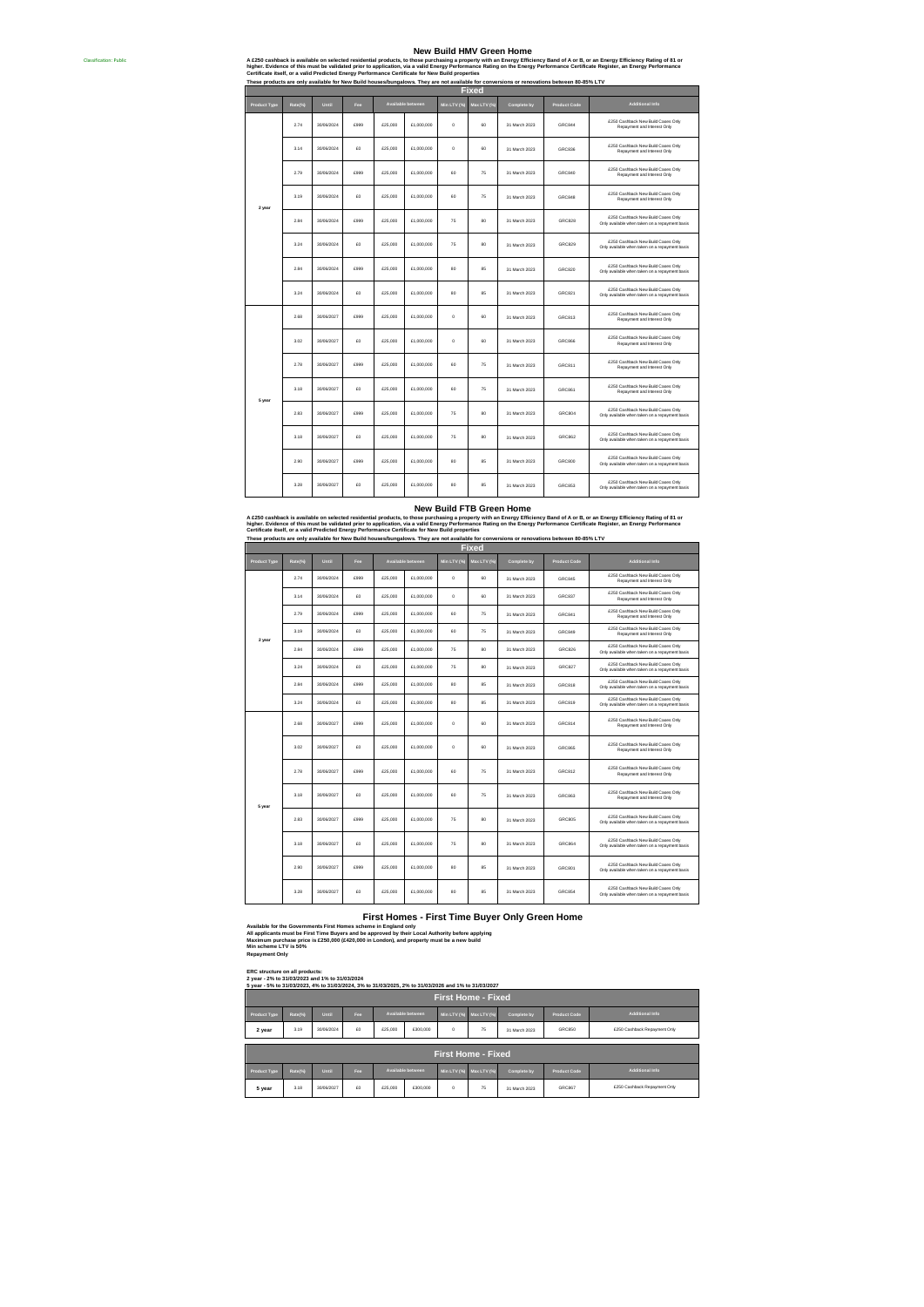### **New Build HMV Green Home**

A £250 cashback is available on selected residential products, to those purchasing a property with an Energy Efficiency Rasment of A or B, or an Energy Efficiency Rating of 81 or<br>higher. Evidence of this must be validated

**These products are only available for New Build houses/bungalows. They are not available for conversions or renovations between 80-85% LTV**

Classification: Public #

| <b>Product Type</b> | Rate(%) | Until      | Fee  |         | <b>Available between</b> | Min LTV (%) | Max LTV (%) | Complete by   | <b>Product Code</b> | Additional Info                                                                      |
|---------------------|---------|------------|------|---------|--------------------------|-------------|-------------|---------------|---------------------|--------------------------------------------------------------------------------------|
|                     | 2.74    | 30/06/2024 | £999 | £25,000 | £1,000,000               | $\Omega$    | 60          | 31 March 2023 | GRC844              | £250 Cashback New Build Cases Only<br>Repayment and Interest Only                    |
|                     | 3.14    | 30/06/2024 | £O   | £25,000 | £1,000,000               | $\circ$     | 60          | 31 March 2023 | GRC836              | £250 Cashback New Build Cases Only<br>Repayment and Interest Only                    |
|                     | 2.79    | 30/06/2024 | £999 | £25,000 | £1,000.000               | 60          | 75          | 31 March 2023 | GRC840              | £250 Cashback New Build Cases Only<br>Repayment and Interest Only                    |
| 2 year              | 3.19    | 30/06/2024 | $5$  | £25,000 | £1,000,000               | 60          | 75          | 31 March 2023 | GRC848              | £250 Cashback New Build Cases Only<br>Repayment and Interest Only                    |
|                     | 2.84    | 30/06/2024 | £999 | £25,000 | £1,000.000               | 75          | 80          | 31 March 2023 | <b>GRC828</b>       | £250 Cashback New Build Cases Only<br>Only available when taken on a repayment basis |
|                     | 3.24    | 30/06/2024 | £O   | £25,000 | £1,000,000               | 75          | $80$        | 31 March 2023 | <b>GRC829</b>       | £250 Cashback New Build Cases Only<br>Only available when taken on a repayment basis |
|                     | 284     | 30/05/2024 | 6999 | £25,000 | £1,000,000               | 80          | 85          | 31 March 2023 | <b>GRC820</b>       | £250 Cashback New Build Cases Only<br>Only available when taken on a repayment basis |
|                     | 3.24    | 30/06/2024 | £0   | £25,000 | £1,000,000               | 80          | 85          | 31 March 2023 | <b>GRC821</b>       | £250 Cashback New Build Cases Only<br>Only available when taken on a repayment basis |
|                     | 2.68    | 30/06/2027 | 6999 | £25,000 | £1,000,000               | $\Omega$    | 60          | 31 March 2023 | GRC813              | £250 Cashback New Build Cases Only<br>Repayment and Interest Only                    |
|                     | 3.02    | 30/06/2027 | $5$  | £25,000 | £1,000,000               | $\circ$     | 60          | 31 March 2023 | <b>GRC866</b>       | £250 Cashback New Build Cases Only<br>Repayment and Interest Only                    |
|                     | 2.78    | 30/06/2027 | £999 | £25,000 | £1,000,000               | 60          | 75          | 31 March 2023 | GRC811              | £250 Cashback New Build Cases Only<br>Repayment and Interest Only                    |
| 5 year              | 3.18    | 30/06/2027 | £O   | £25,000 | £1,000,000               | 60          | 75          | 31 March 2023 | <b>GRC861</b>       | £250 Cashback New Build Cases Only<br>Repayment and Interest Only                    |
|                     | 2.83    | 30/06/2027 | £999 | £25,000 | £1,000,000               | 75          | 80          | 31 March 2023 | <b>GRC804</b>       | £250 Cashback New Build Cases Only<br>Only available when taken on a repayment basis |
|                     | 3.18    | 30/06/2027 | £O   | £25,000 | £1,000,000               | 75          | 80          | 31 March 2023 | <b>GRC862</b>       | £250 Cashback New Build Cases Only<br>Only available when taken on a repayment basis |
|                     | 2.90    | 30/06/2027 | £999 | £25,000 | £1,000,000               | 80          | 85          | 31 March 2023 | <b>GRC800</b>       | £250 Cashback New Build Cases Only<br>Only available when taken on a repayment basis |
|                     | 3.28    | 30/06/2027 | en   | £25,000 | £1,000,000               | BD          | 85          | 31 March 2023 | <b>GRC853</b>       | £250 Cashback New Build Cases Only<br>Only available when taken on a repayment basis |

**These products are only available for New Build houses/bungalows. They are not available for conversions or renovations between 80-85% LTV** A £250 cashback is available on selected residential products, to theory Build ETE Green Horme<br>higher. Evidence of this must be validated prior to application, via a subject from the mergy Efficiency Band of A or B, or an

|                     | Fixed   |            |                 |          |                          |             |                |               |                     |                                                                                      |  |
|---------------------|---------|------------|-----------------|----------|--------------------------|-------------|----------------|---------------|---------------------|--------------------------------------------------------------------------------------|--|
| <b>Product Type</b> | Rate(%) | Until      | Fee             |          | <b>Available between</b> | Min LTV (%) | Max LTV (%)    | Complete by   | <b>Product Code</b> | <b>Additional Info</b>                                                               |  |
|                     | 2.74    | 30/06/2024 | £999            | £25,000  | £1,000.000               | $\circ$     | 60             | 31 March 2023 | GRC845              | £250 Cashback New Build Cases Only<br>Repayment and Interest Only                    |  |
|                     | 3.14    | 30/06/2024 | 50              | £25,000  | £1,000,000               | $\circ$     | 60             | 31 March 2023 | GRC837              | £250 Cashback New Build Cases Only<br>Repayment and Interest Only                    |  |
|                     | 2.79    | 30/06/2024 | £999            | £25,000  | £1,000,000               | 60          | 75             | 31 March 2023 | GRC841              | £250 Cashback New Build Cases Only<br>Repayment and Interest Only                    |  |
| 2 year              | 3.19    | 30/05/2024 | £0              | £25,000  | £1,000,000               | 60          | 75             | 31 March 2023 | <b>GRC849</b>       | £250 Cashback New Build Cases Only<br>Repayment and Interest Only                    |  |
|                     | 2.84    | 30/05/2024 | £999            | £25,000  | £1,000,000               | 75          | 80             | 31 March 2023 | <b>GRC826</b>       | £250 Cashback New Build Cases Only<br>Only available when taken on a repayment basis |  |
|                     | 3.24    | 30/05/2024 | £0              | £25,000  | £1,000,000               | 75          | 80             | 31 March 2023 | <b>GRC827</b>       | £250 Cashback New Build Cases Only<br>Only available when taken on a repayment basis |  |
|                     | 284     | 30/06/2024 | 6999            | \$25,000 | £1,000,000               | 80          | 85             | 31 March 2023 | GRC818              | £250 Cashback New Build Cases Only<br>Only available when taken on a repayment basis |  |
|                     | 3.24    | 30/06/2024 | £O              | £25,000  | £1,000.000               | 80          | 85             | 31 March 2023 | GRC819              | £250 Cashback New Build Cases Only<br>Only available when taken on a repayment basis |  |
|                     | 2.68    | 30/06/2027 | £999            | £25,000  | £1,000,000               | $\circ$     | 60             | 31 March 2023 | GRC814              | £250 Cashback New Build Cases Only<br>Repayment and Interest Only                    |  |
|                     | 3.02    | 30/06/2027 | £0              | £25,000  | £1,000.000               | $\circ$     | 60             | 31 March 2023 | <b>GRC865</b>       | £250 Cashback New Build Cases Only<br>Repayment and Interest Only                    |  |
|                     | 2.78    | 30/06/2027 | £999            | £25,000  | £1,000,000               | 60          | 75             | 31 March 2023 | GRC812              | £250 Cashback New Build Cases Only<br>Repayment and Interest Only                    |  |
| 5 year              | 3.18    | 30/06/2027 | 50 <sub>0</sub> | \$25,000 | £1,000,000               | 60          | 75             | 31 March 2023 | <b>GRC863</b>       | £250 Cashback New Build Cases Only<br>Repayment and Interest Only                    |  |
|                     | 2.83    | 30/06/2027 | £999            | £25,000  | £1,000,000               | 75          | 80             | 31 March 2023 | <b>GRC805</b>       | £250 Cashback New Build Cases Only<br>Only available when taken on a repayment basis |  |
|                     | 3.18    | 30/06/2027 | 50              | £25,000  | £1,000,000               | 75          | R <sub>0</sub> | 31 March 2023 | <b>GRC864</b>       | £250 Cashback New Build Cases Only<br>Only available when taken on a repayment basis |  |
|                     | 2.90    | 30/06/2027 | £999            | £25,000  | £1,000,000               | 80          | 85             | 31 March 2023 | <b>GRCS01</b>       | £250 Cashback New Build Cases Only<br>Only available when taken on a repayment basis |  |
|                     | 3.28    | 30/06/2027 | £0              | £25,000  | £1,000,000               | 80          | 85             | 31 March 2023 | <b>GRC854</b>       | £250 Cashback New Build Cases Only<br>Only available when taken on a repayment basis |  |

### **First Homes - First Time Buyer Only Green Home**

Available for the Governments First Homes scheme in England only<br>All applicants must be First Time Buyers and be approved by their Local Authority before applying<br>Maximum purchase price is £250,000 (£420,000 in London), an

## **ERC structure on all products: 2 year - 2% to 31/03/2023 and 1% to 31/03/2024 5 year - 5% to 31/03/2023, 4% to 31/03/2024, 3% to 31/03/2025, 2% to 31/03/2026 and 1% to 31/03/2027**

|                                                                                                                                                  | 5 year - 5% to 31/03/2023, 4% to 31/03/2024, 3% to 31/03/2025, 2% to 31/03/2026 and 1% to 31/03/2027 |            |     |         |                   |                         |    |               |                     |                              |  |  |
|--------------------------------------------------------------------------------------------------------------------------------------------------|------------------------------------------------------------------------------------------------------|------------|-----|---------|-------------------|-------------------------|----|---------------|---------------------|------------------------------|--|--|
|                                                                                                                                                  | <b>First Home - Fixed</b>                                                                            |            |     |         |                   |                         |    |               |                     |                              |  |  |
| Additional Info<br>Available between<br>Until<br>Min LTV (%) Max LTV (%)<br>Complete by<br><b>Product Code</b><br>Product Type<br>Rate(%)<br>Fee |                                                                                                      |            |     |         |                   |                         |    |               |                     |                              |  |  |
| 2 year                                                                                                                                           | 3.19                                                                                                 | 30/05/2024 | £O  | £25,000 | £300,000          | $\circ$                 | 75 | 31 March 2023 | <b>GRC850</b>       | £250 Cashback Repayment Only |  |  |
| <b>First Home - Fixed</b>                                                                                                                        |                                                                                                      |            |     |         |                   |                         |    |               |                     |                              |  |  |
|                                                                                                                                                  |                                                                                                      |            |     |         |                   |                         |    |               |                     |                              |  |  |
| <b>Product Type</b>                                                                                                                              | Rate(%)                                                                                              | Until      | Fee |         | Available between | Min LTV (%) Max LTV (%) |    | Complete by   | <b>Product Code</b> | Additional Info              |  |  |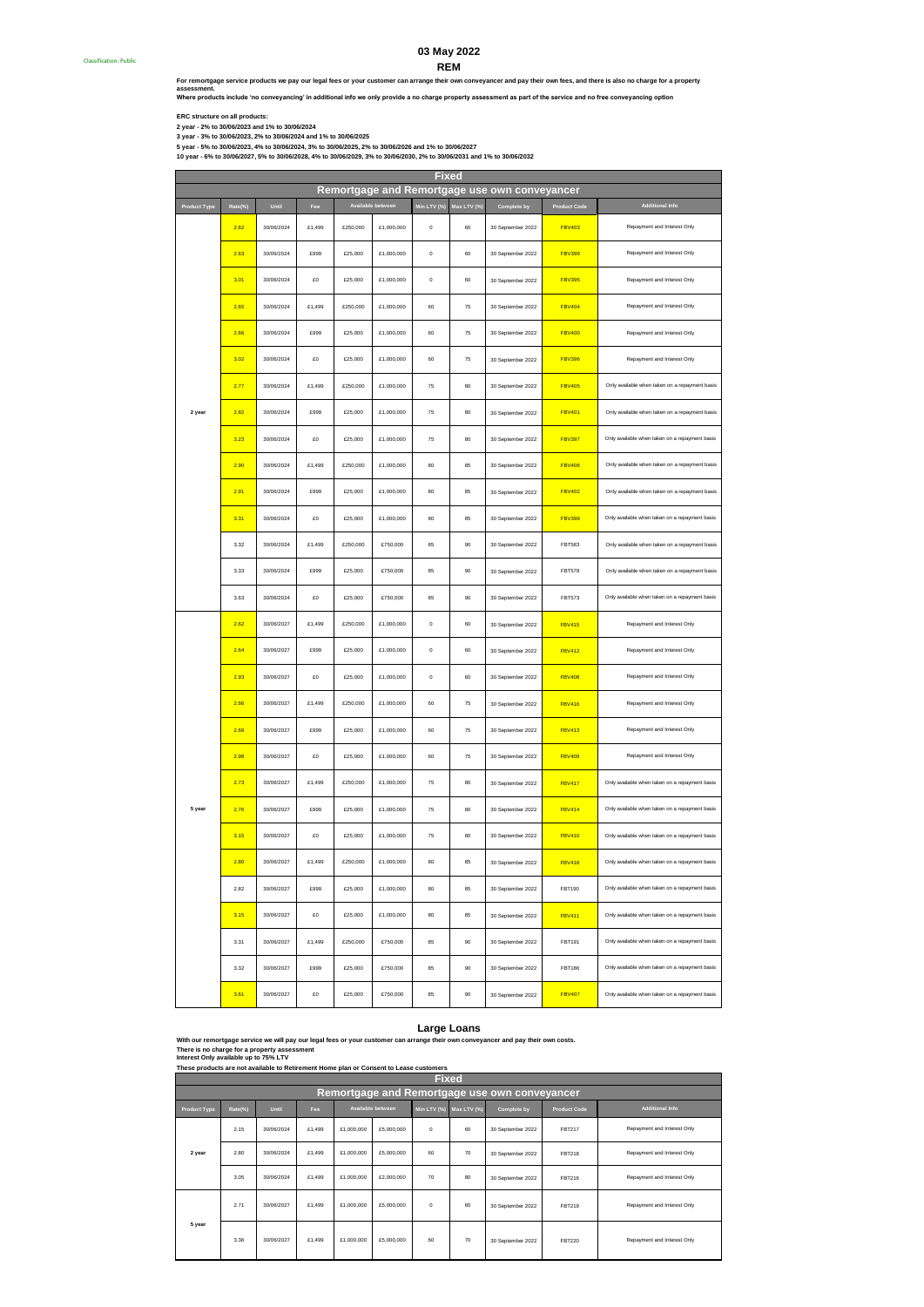### **REM 03 May 2022**

**For remortgage service products we pay our legal fees or your customer can arrange their own conveyancer and pay their own fees, and there is also no charge for a property** 

**Where products include 'no conveyancing' in additional info we only provide a no charge property assessment as part of the service and no free conveyancing option assessment.**

**ERC structure on all products:**

**2 year - 2% to 30/06/2023 and 1% to 30/06/2024**

**3 year - 3% to 30/06/2023, 2% to 30/06/2024 and 1% to 30/06/2025 5 year - 5% to 30/06/2023, 4% to 30/06/2024, 3% to 30/06/2025, 2% to 30/06/2026 and 1% to 30/06/2027**

**10 year - 6% to 30/06/2027, 5% to 30/06/2028, 4% to 30/06/2029, 3% to 30/06/2030, 2% to 30/06/2031 and 1% to 30/06/2032**

**Product Type Rate(%) Until Fee Min LTV (%) Max LTV (%) Complete by Product Code** 2.62 30/06/2024 £1,499 £250,000 £1,000,000 0 60 30 September 2022 FBV403 2.63 30/06/2024 £999 £25,000 £1,000,000 0 60 30 September 2022 FBV399 3.01 30/06/2024 £0 £25,000 £1,000,000 0 60 30 September 2022 FBV395 2.65 30/06/2024 £1,499 £250,000 £1,000,000 60 75 30 September 2022 FBV404 2.66 30/06/2024 £999 £25,000 £1,000,000 60 75 30 September 2022 FBV400 3.02 30/06/2024 £0 £25,000 £1,000,000 60 75 30 September 2022 FBV396 **2.77** 30/06/2024 £1,499 £250,000 £1,000,000 75 80 30 September 2022 **FBV405** 2.82 30/06/2024 £999 £25,000 £1,000,000 75 80 30 September 2022 FBV401 3.23 30/06/2024 £0 £25,000 £1,000,000 75 80 30 September 2022 FBV397 2.90 30/06/2024 £1,499 £250,000 £1,000,000 80 85 30 September 2022 FBV406 2.91 30/06/2024 £999 £25,000 £1,000,000 80 85 30 September 2022 FBV402 **3.31 30/06/2024 £0 £25,000 £1,000,000 80 85 30 September 2022** FBV398 3.32 30/06/2024 £1,499 £250,000 £750,000 85 90 30 September 2022 FBT583 3.33 30/06/2024 £999 £25,000 £750,000 85 90 30 September 2022 FBT578 3.63 30/06/2024 £0 £25,000 £750,000 85 90 30 September 2022 FBT573 2.62 30/06/2027 £1,499 £250,000 £1,000,000 0 60 30 September 2022 FBV415 2.64 30/06/2027 £999 £25,000 £1,000,000 0 60 30 September 2022 FBV412 2.93 30/06/2027 £0 £25,000 £1,000,000 0 60 30 September 2022 FBV408 **2.66** 30/06/2027 £1,499 £250,000 £1,000,000 60 75 30 September 2022 **FBV416** 2.69 30/06/2027 £999 £25,000 £1,000,000 60 75 30 September 2022 FBV413 2.98 30/06/2027 £0 £25,000 £1,000,000 60 75 30 September 2022 FBV409 **2.73** 30/06/2027 £1,499 £250,000 £1,000,000 75 80 30 September 2022 FBV417 2.76 30/06/2027 £999 £25,000 £1,000,000 75 80 30 September 2022 FBV414 3.15 30/06/2027 £0 £25,000 £1,000,000 75 80 30 September 2022 FBV410 2.80 30/06/2027 £1,499 £250,000 £1,000,000 80 85 30 September 2022 FBV418 2.82 30/06/2027 £999 £25,000 £1,000,000 80 85 30 September 2022 FBT190 3.15 30/06/2027 £0 £25,000 £1,000,000 80 85 30 September 2022 FBV411 3.31 30/06/2027 £1,499 £250,000 £750,000 85 90 30 September 2022 FBT191 3.32 30/06/2027 £999 £25,000 £750,000 85 90 30 September 2022 FBT186 3.61 30/06/2027 £0 £25,000 £750,000 85 90 30 September 2022 FBV407 **2 year** Repayment and Interest Only Only available when taken on a repayment basis Only available when taken on a repayment basis Repayment and Interest Only Repayment and Interest Only Only available when taken on a repayment basis Only available when taken on a repayment basis Only available when taken on a repayment basis Only available when taken on a repayment basis Repayment and Interest Only Repayment and Interest Only Repayment and Interest Only Only available when taken on a repayment basis Only available when taken on a repayment basis Only available when taken on a repayment basis **Fixed Remortgage and Remortgage use own conveyancer Additional Info** Only available when taken on a repayment basis **5 year** Only available when taken on a repayment basis Repayment and Interest Only Repayment and Interest Only Repayment and Interest Only Repayment and Interest Only Only available when taken on a repayment basis Repayment and Interest Only Only available when taken on a repayment basis Only available when taken on a repayment basis Only available when taken on a repayment basis Only available when taken on a repayment basis Only available when taken on a repayment basis Only available when taken on a repayment basis Repayment and Interest Only

With our remortgage service we will pay our legal fees or your customer can arrange their own conveyancer and pay their own costs<br>There is no charge for a property assessment<br>Interest Only available up to 75% LTV **Large Loans**<br>range their own conveyancer and pay their own costs.

**These products are not available to Retirement Home plan or Consent to Lease customers**

| <b>Fixed</b>                                  |         |            |        |            |                   |          |                         |                   |                     |                             |  |
|-----------------------------------------------|---------|------------|--------|------------|-------------------|----------|-------------------------|-------------------|---------------------|-----------------------------|--|
| Remortgage and Remortgage use own conveyancer |         |            |        |            |                   |          |                         |                   |                     |                             |  |
| <b>Product Type</b>                           | Rate(%) | Until      | Fee    |            | Available between |          | Min LTV (%) Max LTV (%) | Complete by       | <b>Product Code</b> | <b>Additional Info</b>      |  |
|                                               | 2.15    | 30/06/2024 | £1,499 | £1,000,000 | £5,000,000        | $\Omega$ | 60                      | 30 September 2022 | <b>FBT217</b>       | Repayment and Interest Only |  |
| 2 year                                        | 2.80    | 30/06/2024 | £1,499 | £1,000,000 | £5,000,000        | 60       | 70                      | 30 September 2022 | <b>FBT218</b>       | Repayment and Interest Only |  |
|                                               | 3.05    | 30/06/2024 | £1.499 | £1,000,000 | £2,000,000        | 70       | 80                      | 30 September 2022 | <b>FBT216</b>       | Repayment and Interest Only |  |
|                                               | 2.71    | 30/06/2027 | £1,499 | £1,000,000 | £5,000,000        | $\Omega$ | 60                      | 30 September 2022 | <b>FRT219</b>       | Repayment and Interest Only |  |
| 5 year                                        | 3.36    | 30/06/2027 | £1,499 | £1,000,000 | £5,000,000        | 60       | 70                      | 30 September 2022 | <b>FBT220</b>       | Repayment and Interest Only |  |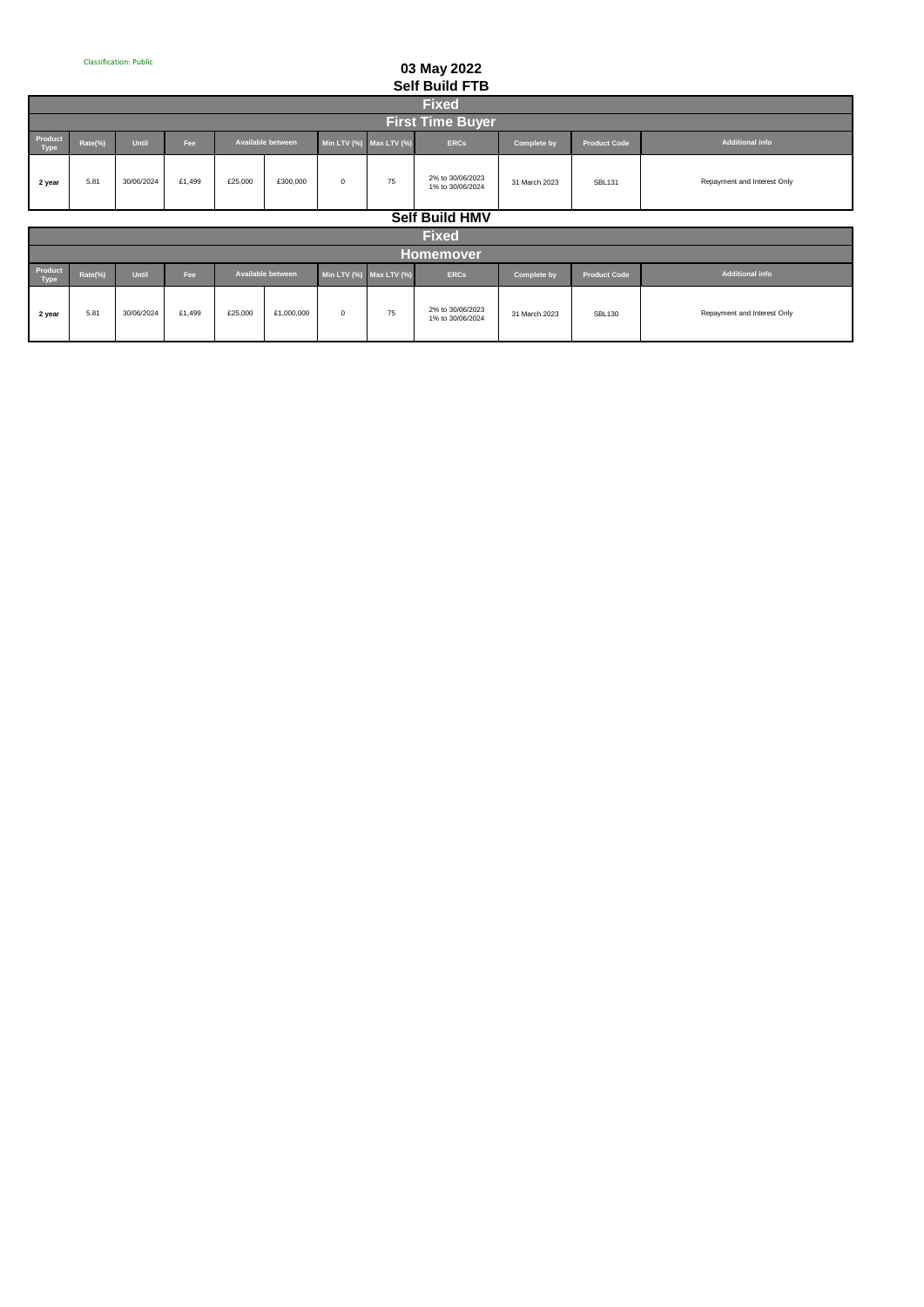## **03 May 2022 Self Build FTB**

|                 | <b>JULIAN LIP</b> |              |        |         |                   |                         |    |                                      |                    |                     |                             |
|-----------------|-------------------|--------------|--------|---------|-------------------|-------------------------|----|--------------------------------------|--------------------|---------------------|-----------------------------|
|                 | <b>Fixed</b>      |              |        |         |                   |                         |    |                                      |                    |                     |                             |
|                 |                   |              |        |         |                   |                         |    | <b>First Time Buyer</b>              |                    |                     |                             |
| Product<br>Type | Rate(%)           | <b>Until</b> | Fee    |         | Available between | Min LTV (%) Max LTV (%) |    | <b>ERCs</b>                          | <b>Complete by</b> | <b>Product Code</b> | <b>Additional info</b>      |
| 2 year          | 5.81              | 30/06/2024   | £1.499 | £25,000 | £300,000          | $^{\circ}$              | 75 | 2% to 30/06/2023<br>1% to 30/06/2024 | 31 March 2023      | <b>SBL131</b>       | Repayment and Interest Only |
|                 |                   |              |        |         |                   |                         |    | $A \cup B$ $B \cup B \cup B$         |                    |                     |                             |

**Self Build HMV**

|                 | <b>Fixed</b> |              |        |         |                   |                         |    |                                      |                    |                     |                             |
|-----------------|--------------|--------------|--------|---------|-------------------|-------------------------|----|--------------------------------------|--------------------|---------------------|-----------------------------|
|                 | Homemover    |              |        |         |                   |                         |    |                                      |                    |                     |                             |
| Product<br>Type | Rate(%)      | <b>Until</b> | Fee    |         | Available between | Min LTV (%) Max LTV (%) |    | <b>ERCs</b>                          | <b>Complete by</b> | <b>Product Code</b> | Additional info             |
| 2 year          | 5.81         | 30/06/2024   | £1.499 | £25,000 | £1,000,000        | $^{\circ}$              | 75 | 2% to 30/06/2023<br>1% to 30/06/2024 | 31 March 2023      | <b>SBL130</b>       | Repayment and Interest Only |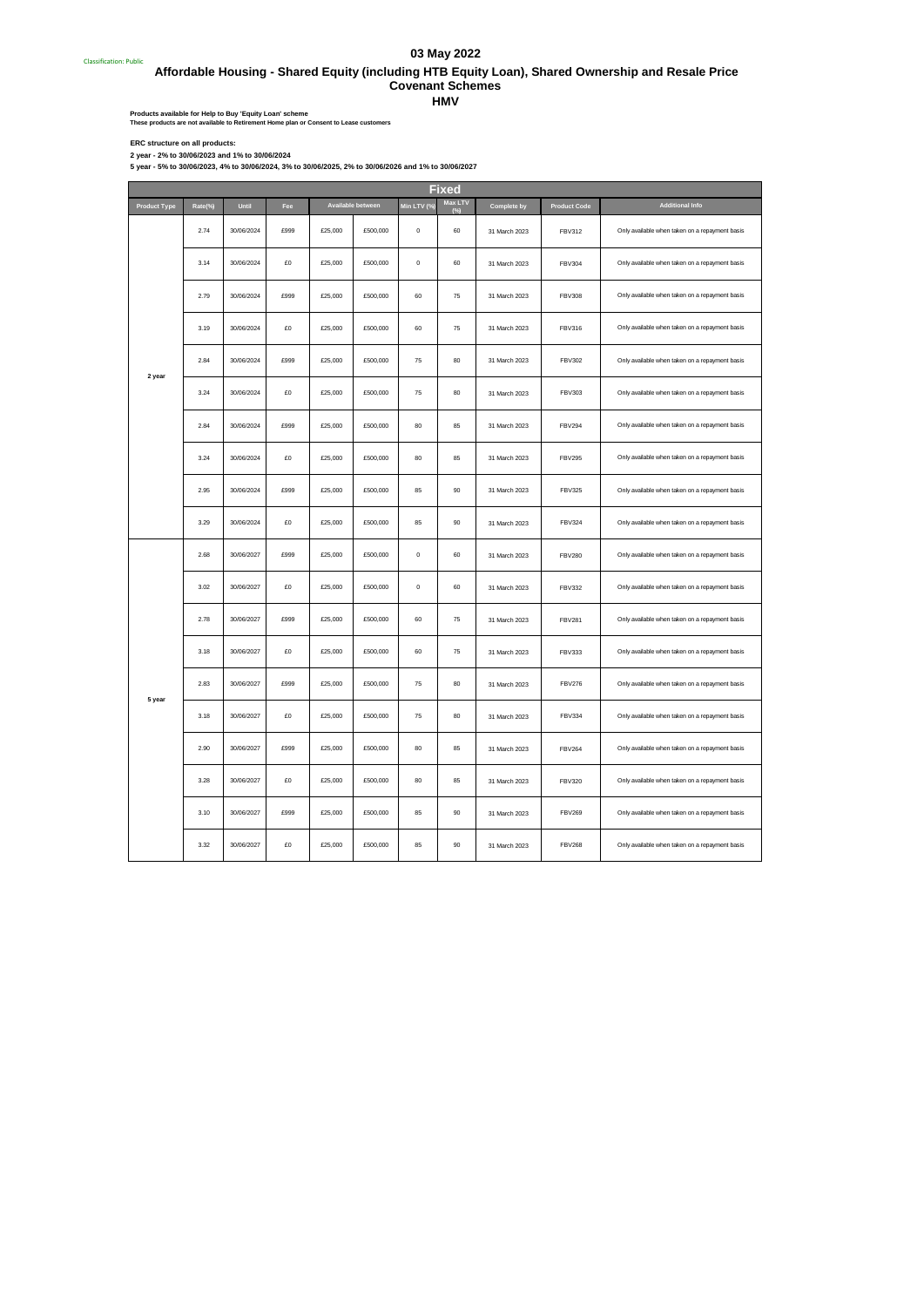## **03 May 2022**

Classification: Public#  **Affordable Housing - Shared Equity (including HTB Equity Loan), Shared Ownership and Resale Price Covenant Schemes** 

**HMV**

Products available for Help to Buy 'Equity Loan' scheme<br>These products are not available to Retirement Home plan or Consent to Lease customers

ERC structure on all products:<br>2 year - 5% to 30/06/2023 and 1% to 30/06/2024<br>5 year - 5% to 30/06/2023, 4% to 30/06/2024, 3% to 30/06/2025, 2% to 30/06/2026 and 1% to 30/06/2027

| Product Type | Rate(%) | Until      | Fee  |         | Available between | Min LTV (% | Max LTV | Complete by   | <b>Product Code</b> | <b>Additional Info</b>                         |
|--------------|---------|------------|------|---------|-------------------|------------|---------|---------------|---------------------|------------------------------------------------|
|              | 2.74    | 30/06/2024 | £999 | £25,000 | £500,000          | $\bf 0$    | 60      | 31 March 2023 | <b>FBV312</b>       | Only available when taken on a repayment basis |
|              | 3.14    | 30/06/2024 | £0   | £25,000 | £500,000          | $\pmb{0}$  | 60      | 31 March 2023 | <b>FBV304</b>       | Only available when taken on a repayment basis |
|              | 2.79    | 30/06/2024 | £999 | £25,000 | £500,000          | 60         | 75      | 31 March 2023 | <b>FBV308</b>       | Only available when taken on a repayment basis |
|              | 3.19    | 30/06/2024 | £0   | £25,000 | £500,000          | 60         | 75      | 31 March 2023 | <b>FBV316</b>       | Only available when taken on a repayment basis |
| 2 year       | 2.84    | 30/06/2024 | £999 | £25,000 | £500,000          | 75         | 80      | 31 March 2023 | <b>FBV302</b>       | Only available when taken on a repayment basis |
|              | 3.24    | 30/06/2024 | £O   | £25,000 | £500,000          | 75         | 80      | 31 March 2023 | <b>FBV303</b>       | Only available when taken on a repayment basis |
|              | 2.84    | 30/06/2024 | £999 | £25,000 | £500,000          | 80         | 85      | 31 March 2023 | <b>FBV294</b>       | Only available when taken on a repayment basis |
|              | 3.24    | 30/06/2024 | £0   | £25,000 | £500,000          | 80         | 85      | 31 March 2023 | <b>FBV295</b>       | Only available when taken on a repayment basis |
|              | 2.95    | 30/06/2024 | £999 | £25,000 | £500,000          | 85         | 90      | 31 March 2023 | <b>FBV325</b>       | Only available when taken on a repayment basis |
|              | 3.29    | 30/06/2024 | £0   | £25,000 | £500,000          | 85         | 90      | 31 March 2023 | <b>FBV324</b>       | Only available when taken on a repayment basis |
|              | 2.68    | 30/06/2027 | £999 | £25,000 | £500,000          | $\pmb{0}$  | 60      | 31 March 2023 | <b>FBV280</b>       | Only available when taken on a repayment basis |
|              | 3.02    | 30/06/2027 | £0   | £25,000 | £500,000          | $\pmb{0}$  | 60      | 31 March 2023 | <b>FBV332</b>       | Only available when taken on a repayment basis |
|              | 2.78    | 30/06/2027 | £999 | £25,000 | £500,000          | 60         | 75      | 31 March 2023 | <b>FBV281</b>       | Only available when taken on a repayment basis |
|              | 3.18    | 30/06/2027 | £0   | £25,000 | £500,000          | 60         | 75      | 31 March 2023 | <b>FBV333</b>       | Only available when taken on a repayment basis |
| 5 year       | 2.83    | 30/06/2027 | £999 | £25,000 | £500,000          | 75         | 80      | 31 March 2023 | <b>FBV276</b>       | Only available when taken on a repayment basis |
|              | 3.18    | 30/06/2027 | £0   | £25,000 | £500,000          | 75         | 80      | 31 March 2023 | <b>FBV334</b>       | Only available when taken on a repayment basis |
|              | 2.90    | 30/06/2027 | £999 | £25,000 | £500,000          | 80         | 85      | 31 March 2023 | <b>FBV264</b>       | Only available when taken on a repayment basis |
|              | 3.28    | 30/06/2027 | £0   | £25,000 | £500,000          | 80         | 85      | 31 March 2023 | <b>FBV320</b>       | Only available when taken on a repayment basis |
|              | 3.10    | 30/06/2027 | £999 | £25,000 | £500,000          | 85         | 90      | 31 March 2023 | <b>FBV269</b>       | Only available when taken on a repayment basis |
|              | 3.32    | 30/06/2027 | £0   | £25,000 | £500,000          | 85         | 90      | 31 March 2023 | <b>FBV268</b>       | Only available when taken on a repayment basis |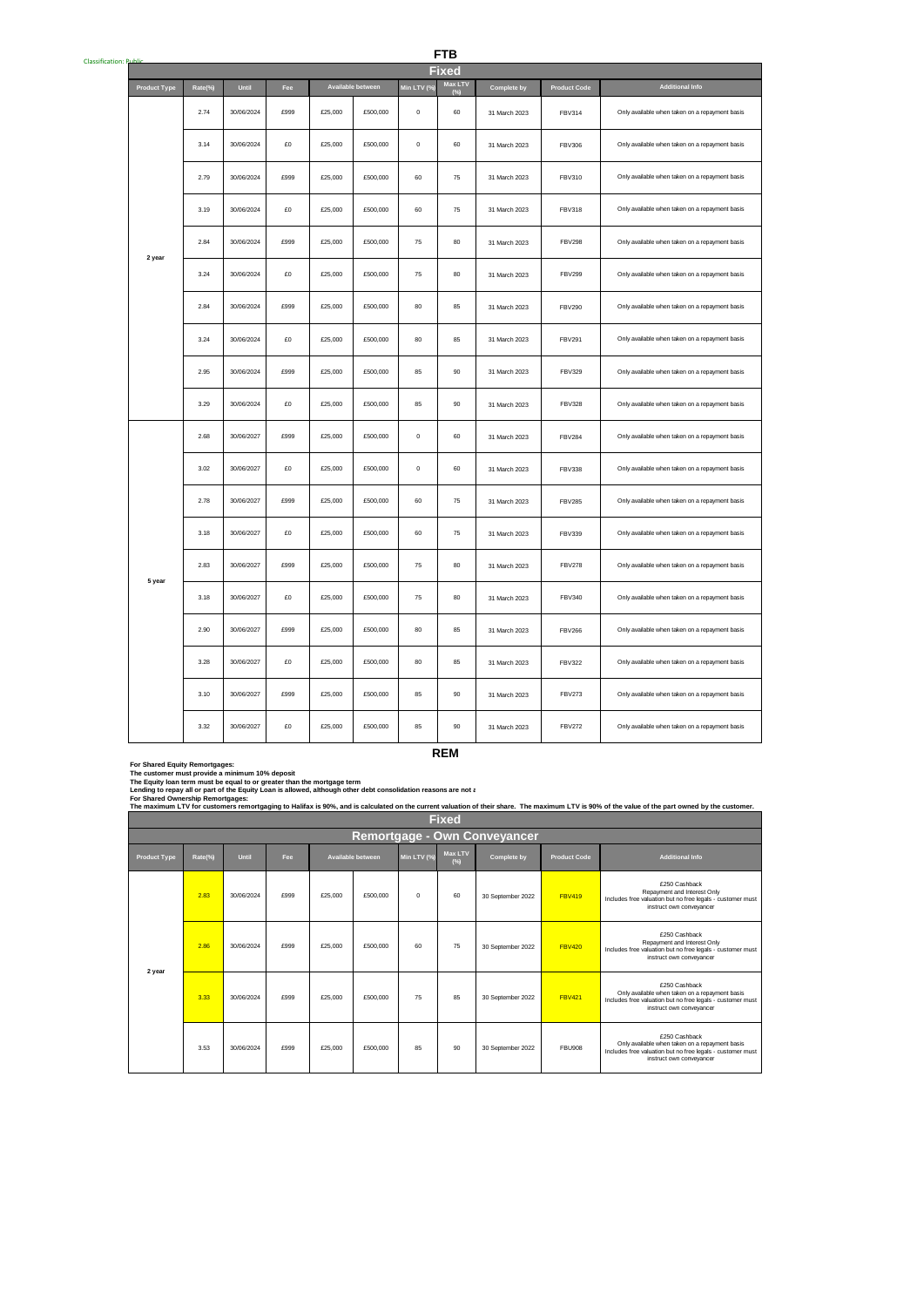| <b>Classification: R</b> |                     |         |            |      |         |                   |             | <b>FTB</b>   |                    |                     |                                                |
|--------------------------|---------------------|---------|------------|------|---------|-------------------|-------------|--------------|--------------------|---------------------|------------------------------------------------|
|                          |                     |         |            |      |         |                   |             | <b>Fixed</b> |                    |                     |                                                |
|                          | <b>Product Type</b> | Rate(%) | Until      | Fee  |         | Available between | Min LTV (%) | Max LTV      | <b>Complete by</b> | <b>Product Code</b> | <b>Additional Info</b>                         |
|                          |                     | 2.74    | 30/06/2024 | £999 | £25,000 | £500,000          | $\mathbf 0$ | 60           | 31 March 2023      | <b>FBV314</b>       | Only available when taken on a repayment basis |
|                          |                     | 3.14    | 30/06/2024 | £O   | £25,000 | £500,000          | $\mathbf 0$ | 60           | 31 March 2023      | <b>FBV306</b>       | Only available when taken on a repayment basis |
|                          |                     | 2.79    | 30/06/2024 | £999 | £25,000 | £500,000          | 60          | 75           | 31 March 2023      | FBV310              | Only available when taken on a repayment basis |
|                          |                     | 3.19    | 30/06/2024 | £O   | £25,000 | £500,000          | 60          | 75           | 31 March 2023      | <b>FBV318</b>       | Only available when taken on a repayment basis |
|                          | 2 year              | 2.84    | 30/06/2024 | £999 | £25,000 | £500,000          | $75\,$      | 80           | 31 March 2023      | <b>FBV298</b>       | Only available when taken on a repayment basis |
|                          |                     | 3.24    | 30/06/2024 | £O   | £25,000 | £500,000          | 75          | 80           | 31 March 2023      | <b>FBV299</b>       | Only available when taken on a repayment basis |
|                          |                     | 2.84    | 30/06/2024 | £999 | £25,000 | £500,000          | 80          | 85           | 31 March 2023      | <b>FBV290</b>       | Only available when taken on a repayment basis |
|                          |                     | 3.24    | 30/06/2024 | £O   | £25,000 | £500,000          | $80\,$      | 85           | 31 March 2023      | <b>FBV291</b>       | Only available when taken on a repayment basis |
|                          |                     | 2.95    | 30/06/2024 | £999 | £25,000 | £500,000          | 85          | 90           | 31 March 2023      | <b>FBV329</b>       | Only available when taken on a repayment basis |
|                          |                     | 3.29    | 30/06/2024 | £0   | £25,000 | £500,000          | 85          | 90           | 31 March 2023      | <b>FBV328</b>       | Only available when taken on a repayment basis |
|                          |                     | 2.68    | 30/06/2027 | £999 | £25,000 | £500,000          | $\mathbf 0$ | 60           | 31 March 2023      | <b>FBV284</b>       | Only available when taken on a repayment basis |
|                          |                     | 3.02    | 30/06/2027 | £0   | £25,000 | £500,000          | $\mathbf 0$ | 60           | 31 March 2023      | <b>FBV338</b>       | Only available when taken on a repayment basis |
|                          |                     | 2.78    | 30/06/2027 | £999 | £25,000 | £500,000          | 60          | ${\bf 75}$   | 31 March 2023      | <b>FBV285</b>       | Only available when taken on a repayment basis |
|                          |                     | 3.18    | 30/06/2027 | £O   | £25,000 | £500,000          | 60          | 75           | 31 March 2023      | <b>FBV339</b>       | Only available when taken on a repayment basis |
|                          | 5 year              | 2.83    | 30/06/2027 | £999 | £25,000 | £500,000          | 75          | 80           | 31 March 2023      | <b>FBV278</b>       | Only available when taken on a repayment basis |
|                          |                     | 3.18    | 30/06/2027 | £0   | £25,000 | £500,000          | 75          | 80           | 31 March 2023      | <b>FBV340</b>       | Only available when taken on a repayment basis |
|                          |                     | 2.90    | 30/06/2027 | £999 | £25,000 | £500,000          | 80          | 85           | 31 March 2023      | <b>FBV266</b>       | Only available when taken on a repayment basis |
|                          |                     | 3.28    | 30/06/2027 | £O   | £25,000 | £500,000          | 80          | 85           | 31 March 2023      | <b>FBV322</b>       | Only available when taken on a repayment basis |
|                          |                     | 3.10    | 30/06/2027 | £999 | £25,000 | £500,000          | 85          | 90           | 31 March 2023      | <b>FBV273</b>       | Only available when taken on a repayment basis |
|                          |                     | 3.32    | 30/06/2027 | £0   | £25,000 | £500,000          | 85          | 90           | 31 March 2023      | <b>FBV272</b>       | Only available when taken on a repayment basis |
|                          |                     |         |            |      |         |                   |             | <b>REM</b>   |                    |                     |                                                |

**For Shared Equity Remortgages:**

**The customer must provide a minimum 10% deposit**

The Equity Ioan term must be equal to or greater than the mortgage term<br>Lending to repay all or part of the Equity Loan is allowed, although other debt consolidation reasons are not a

|                     | The maximum LTV for customers remortgaging to Halifax is 90%, and is calculated on the current valuation of their share. The maximum LTV is 90% of the value of the part owned by the customer. |            |            |         |                   |             |                          |                   |                     |                                                                                                                                                           |  |  |
|---------------------|-------------------------------------------------------------------------------------------------------------------------------------------------------------------------------------------------|------------|------------|---------|-------------------|-------------|--------------------------|-------------------|---------------------|-----------------------------------------------------------------------------------------------------------------------------------------------------------|--|--|
|                     | <b>Fixed</b>                                                                                                                                                                                    |            |            |         |                   |             |                          |                   |                     |                                                                                                                                                           |  |  |
|                     | Remortgage - Own Conveyancer                                                                                                                                                                    |            |            |         |                   |             |                          |                   |                     |                                                                                                                                                           |  |  |
| <b>Product Type</b> | Rate(%)                                                                                                                                                                                         | Until      | <b>Fee</b> |         | Available between | Min LTV (%) | <b>Max LTV</b><br>$(\%)$ | Complete by       | <b>Product Code</b> | <b>Additional Info</b>                                                                                                                                    |  |  |
|                     | 2.83                                                                                                                                                                                            | 30/06/2024 | £999       | £25,000 | £500,000          | $\Omega$    | 60                       | 30 September 2022 | <b>FBV419</b>       | £250 Cashback<br>Repayment and Interest Only<br>Includes free valuation but no free legals - customer must<br>instruct own conveyancer                    |  |  |
|                     | 2.86                                                                                                                                                                                            | 30/06/2024 | £999       | £25,000 | £500,000          | 60          | 75                       | 30 September 2022 | <b>FBV420</b>       | £250 Cashback<br>Repayment and Interest Only<br>Includes free valuation but no free legals - customer must<br>instruct own conveyancer                    |  |  |
| 2 year              | 3.33                                                                                                                                                                                            | 30/06/2024 | £999       | £25,000 | £500,000          | 75          | 85                       | 30 September 2022 | <b>FBV421</b>       | £250 Cashback<br>Only available when taken on a repayment basis<br>Includes free valuation but no free legals - customer must<br>instruct own convevancer |  |  |
|                     | 3.53                                                                                                                                                                                            | 30/06/2024 | £999       | £25,000 | £500,000          | 85          | 90                       | 30 September 2022 | <b>FBU908</b>       | £250 Cashback<br>Only available when taken on a repayment basis<br>Includes free valuation but no free legals - customer must<br>instruct own convevancer |  |  |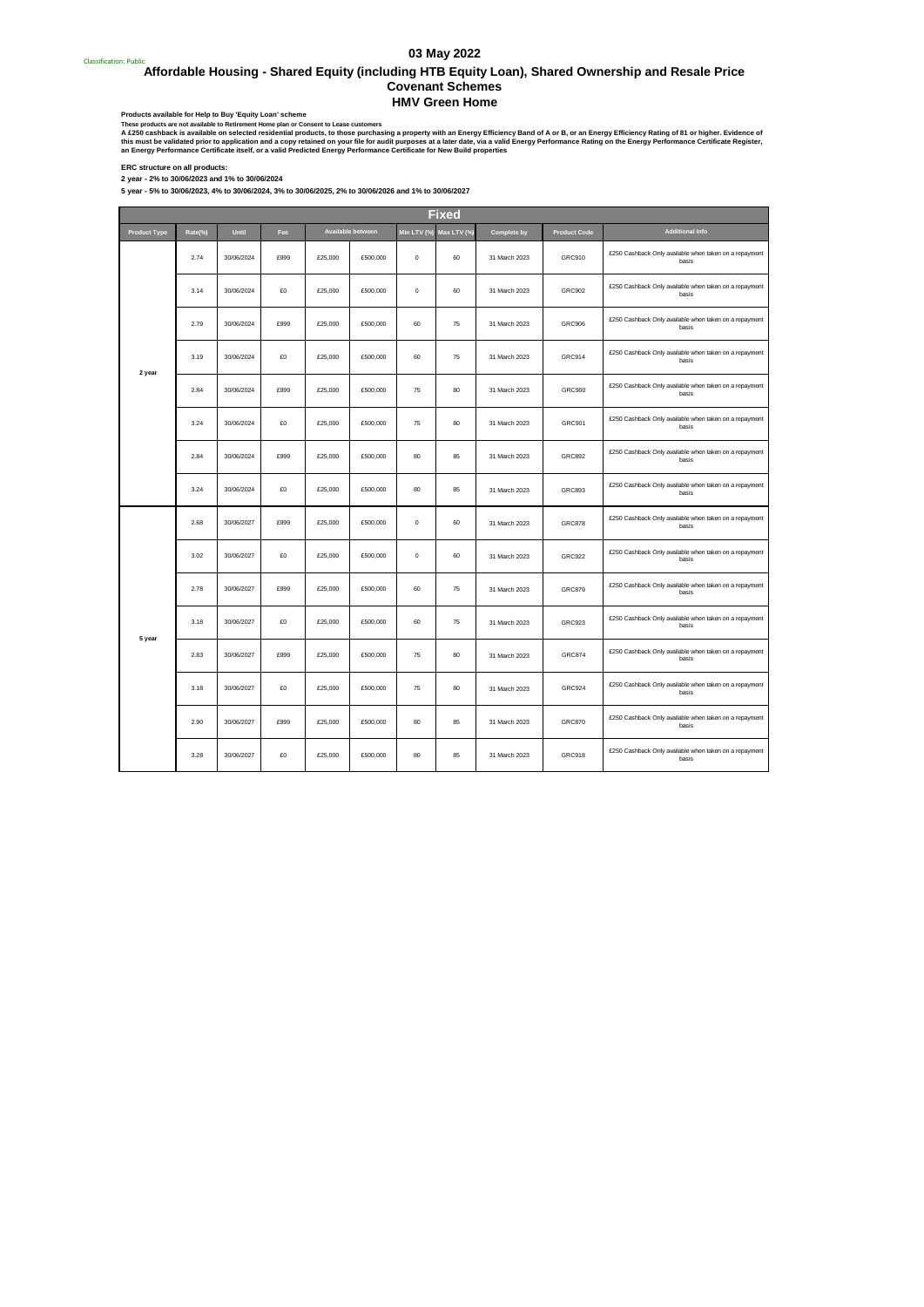## **03 May 2022**

<sub>Classification: Public</sub><br>Affordable Housing - Shared Equity (including HTB Equity Loan), Shared Ownership and Resale Price **Covenant Schemes HMV Green Home**

Products available for Help to Buy 'Equity Loan' scheme<br>These products are not available to Retirement Home plan or Consent to Lease customers

A £250 cashback is available on selected residential products, to those purchasing a property with an Energy Efficiency Rad of A or B, or an Energy Efficiency Rating of 81 or higher. Evidence of<br>this must be validated prio

**ERC structure on all products:**

**5 year - 5% to 30/06/2023, 4% to 30/06/2024, 3% to 30/06/2025, 2% to 30/06/2026 and 1% to 30/06/2027 2 year - 2% to 30/06/2023 and 1% to 30/06/2024**

|                     | <b>Fixed</b> |            |      |         |                   |                         |    |                    |                     |                                                                 |  |
|---------------------|--------------|------------|------|---------|-------------------|-------------------------|----|--------------------|---------------------|-----------------------------------------------------------------|--|
| <b>Product Type</b> | Rate(%)      | Until      | Fee  |         | Available between | Min LTV (%) Max LTV (%) |    | <b>Complete by</b> | <b>Product Code</b> | <b>Additional Info</b>                                          |  |
|                     | 2.74         | 30/06/2024 | £999 | £25,000 | £500,000          | $\mathbf 0$             | 60 | 31 March 2023      | GRC910              | £250 Cashback Only available when taken on a repayment<br>basis |  |
|                     | 3.14         | 30/06/2024 | £0   | £25,000 | £500,000          | $\mathbf 0$             | 60 | 31 March 2023      | GRC902              | £250 Cashback Only available when taken on a repayment<br>basis |  |
|                     | 2.79         | 30/06/2024 | £999 | £25,000 | £500,000          | 60                      | 75 | 31 March 2023      | <b>GRC906</b>       | £250 Cashback Only available when taken on a repayment<br>basis |  |
| 2 year              | 3.19         | 30/06/2024 | £0   | £25,000 | £500,000          | 60                      | 75 | 31 March 2023      | <b>GRC914</b>       | £250 Cashback Only available when taken on a repayment<br>basis |  |
|                     | 2.84         | 30/06/2024 | £999 | £25,000 | £500,000          | 75                      | 80 | 31 March 2023      | <b>GRC900</b>       | £250 Cashback Only available when taken on a repayment<br>basis |  |
|                     | 3.24         | 30/06/2024 | £0   | £25,000 | £500,000          | 75                      | 80 | 31 March 2023      | <b>GRC901</b>       | £250 Cashback Only available when taken on a repayment<br>basis |  |
|                     | 2.84         | 30/06/2024 | £999 | £25,000 | £500,000          | 80                      | 85 | 31 March 2023      | GRC892              | £250 Cashback Only available when taken on a repayment<br>basis |  |
|                     | 3.24         | 30/06/2024 | £0   | £25,000 | £500,000          | 80                      | 85 | 31 March 2023      | GRC893              | £250 Cashback Only available when taken on a repayment<br>basis |  |
|                     | 2.68         | 30/06/2027 | £999 | £25,000 | £500,000          | $\circ$                 | 60 | 31 March 2023      | <b>GRC878</b>       | £250 Cashback Only available when taken on a repayment<br>basis |  |
|                     | 3.02         | 30/06/2027 | £0   | £25,000 | £500,000          | $\bf{0}$                | 60 | 31 March 2023      | <b>GRC922</b>       | £250 Cashback Only available when taken on a repayment<br>basis |  |
|                     | 2.78         | 30/06/2027 | £999 | £25,000 | £500,000          | 60                      | 75 | 31 March 2023      | <b>GRC879</b>       | £250 Cashback Only available when taken on a repayment<br>basis |  |
| 5 year              | 3.18         | 30/06/2027 | £0   | £25,000 | £500,000          | 60                      | 75 | 31 March 2023      | <b>GRC923</b>       | £250 Cashback Only available when taken on a repayment<br>basis |  |
|                     | 2.83         | 30/06/2027 | £999 | £25,000 | £500,000          | 75                      | 80 | 31 March 2023      | <b>GRC874</b>       | £250 Cashback Only available when taken on a repayment<br>basis |  |
|                     | 3.18         | 30/06/2027 | £0   | £25,000 | £500,000          | 75                      | 80 | 31 March 2023      | <b>GRC924</b>       | £250 Cashback Only available when taken on a repayment<br>basis |  |
|                     | 2.90         | 30/06/2027 | £999 | £25,000 | £500,000          | 80                      | 85 | 31 March 2023      | <b>GRC870</b>       | £250 Cashback Only available when taken on a repayment<br>basis |  |
|                     | 3.28         | 30/06/2027 | £0   | £25,000 | £500,000          | 80                      | 85 | 31 March 2023      | <b>GRC918</b>       | £250 Cashback Only available when taken on a repayment<br>basis |  |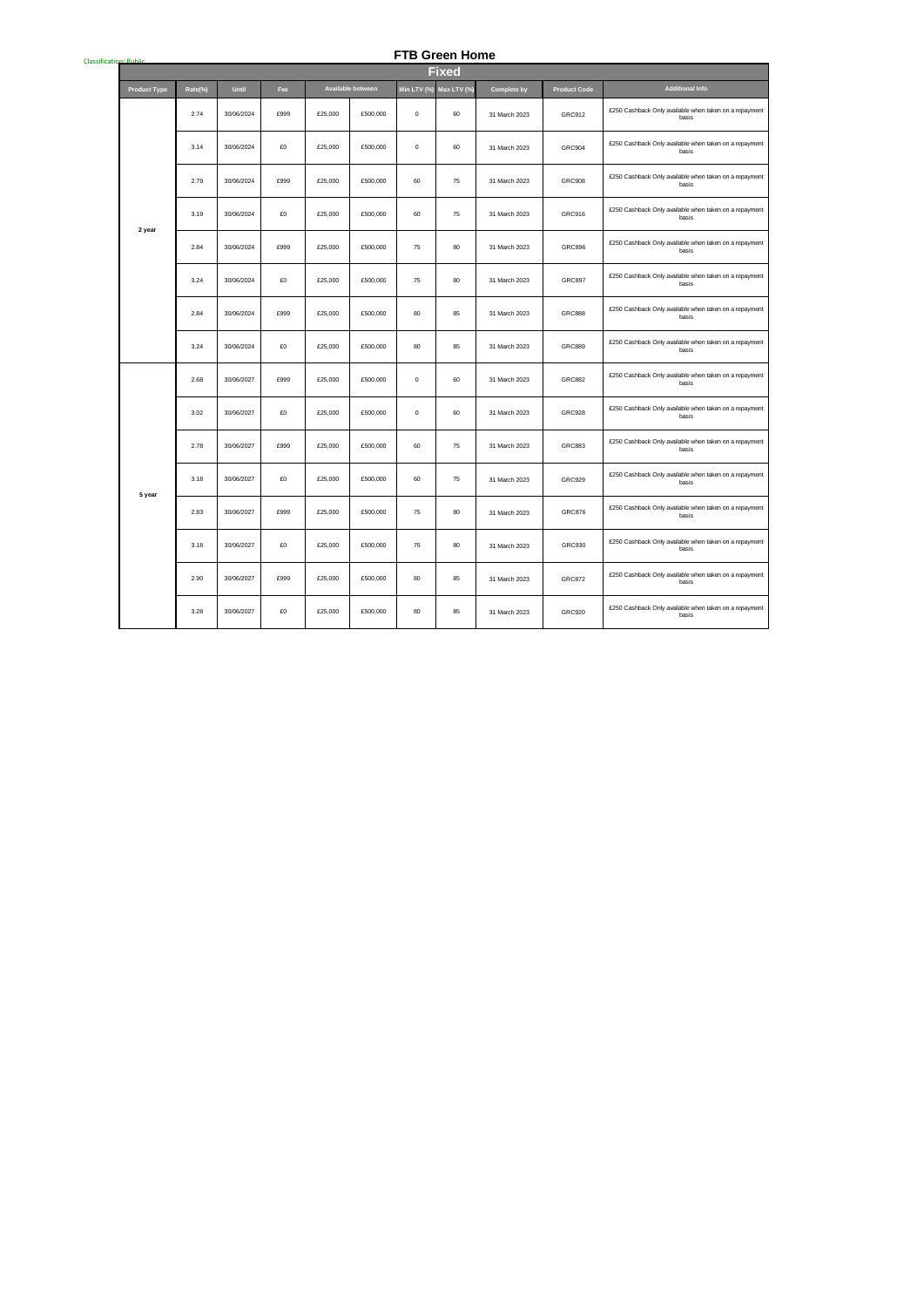## **FTB Green Home**

| Classification: Public | <b>FTB Green Home</b> |         |            |      |         |                   |             |              |                    |                     |                                                                 |
|------------------------|-----------------------|---------|------------|------|---------|-------------------|-------------|--------------|--------------------|---------------------|-----------------------------------------------------------------|
|                        |                       |         |            |      |         |                   |             | <b>Fixed</b> |                    |                     |                                                                 |
|                        | <b>Product Type</b>   | Rate(%) | Until      | Fee  |         | Available between | Min LTV (%) | Max LTV (%)  | <b>Complete by</b> | <b>Product Code</b> | <b>Additional Info</b>                                          |
|                        |                       | 2.74    | 30/06/2024 | £999 | £25,000 | £500,000          | $\mathbf 0$ | 60           | 31 March 2023      | GRC912              | £250 Cashback Only available when taken on a repayment<br>basis |
|                        |                       | 3.14    | 30/06/2024 | £O   | £25,000 | £500,000          | $\mathbf 0$ | 60           | 31 March 2023      | <b>GRC904</b>       | £250 Cashback Only available when taken on a repayment<br>basis |
|                        |                       | 2.79    | 30/06/2024 | £999 | £25,000 | £500,000          | 60          | 75           | 31 March 2023      | <b>GRC908</b>       | £250 Cashback Only available when taken on a repayment<br>basis |
|                        | 2 year                | 3.19    | 30/06/2024 | £0   | £25,000 | £500,000          | 60          | 75           | 31 March 2023      | GRC916              | £250 Cashback Only available when taken on a repayment<br>basis |
|                        |                       | 2.84    | 30/06/2024 | £999 | £25,000 | £500,000          | 75          | 80           | 31 March 2023      | <b>GRC896</b>       | £250 Cashback Only available when taken on a repayment<br>basis |
|                        |                       | 3.24    | 30/06/2024 | £0   | £25,000 | £500,000          | 75          | 80           | 31 March 2023      | <b>GRC897</b>       | £250 Cashback Only available when taken on a repayment<br>basis |
|                        |                       | 2.84    | 30/06/2024 | £999 | £25,000 | £500,000          | 80          | 85           | 31 March 2023      | <b>GRC888</b>       | £250 Cashback Only available when taken on a repayment<br>basis |
|                        |                       | 3.24    | 30/06/2024 | £O   | £25,000 | £500,000          | 80          | 85           | 31 March 2023      | <b>GRC889</b>       | £250 Cashback Only available when taken on a repayment<br>basis |
|                        |                       | 2.68    | 30/06/2027 | £999 | £25,000 | £500,000          | $\mathbf 0$ | 60           | 31 March 2023      | <b>GRC882</b>       | £250 Cashback Only available when taken on a repayment<br>basis |
|                        |                       | 3.02    | 30/06/2027 | £0   | £25,000 | £500,000          | $\mathbf 0$ | 60           | 31 March 2023      | <b>GRC928</b>       | £250 Cashback Only available when taken on a repayment<br>basis |
|                        |                       | 2.78    | 30/06/2027 | £999 | £25,000 | £500,000          | 60          | 75           | 31 March 2023      | <b>GRC883</b>       | £250 Cashback Only available when taken on a repayment<br>basis |
|                        | 5 year                | 3.18    | 30/06/2027 | £O   | £25,000 | £500,000          | 60          | 75           | 31 March 2023      | <b>GRC929</b>       | £250 Cashback Only available when taken on a repayment<br>basis |
|                        |                       | 2.83    | 30/06/2027 | £999 | £25,000 | £500,000          | 75          | 80           | 31 March 2023      | <b>GRC876</b>       | £250 Cashback Only available when taken on a repayment<br>basis |
|                        |                       | 3.18    | 30/06/2027 | £O   | £25,000 | £500,000          | 75          | 80           | 31 March 2023      | GRC930              | £250 Cashback Only available when taken on a repayment<br>basis |
|                        |                       | 2.90    | 30/06/2027 | £999 | £25,000 | £500,000          | 80          | 85           | 31 March 2023      | <b>GRC872</b>       | £250 Cashback Only available when taken on a repayment<br>basis |
|                        |                       | 3.28    | 30/06/2027 | £0   | £25,000 | £500,000          | 80          | 85           | 31 March 2023      | GRC920              | £250 Cashback Only available when taken on a repayment<br>basis |